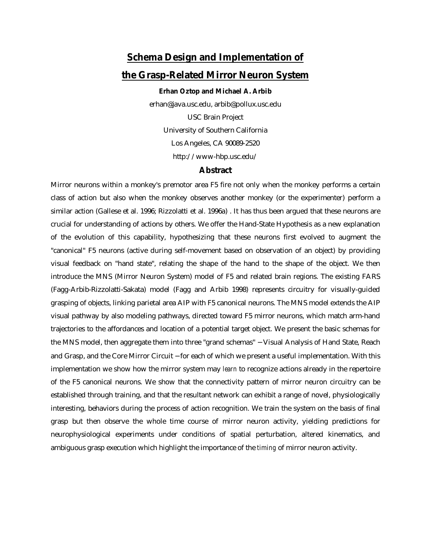# **Schema Design and Implementation of the Grasp-Related Mirror Neuron System**

#### **Erhan Oztop and Michael A. Arbib**

erhan@java.usc.edu, arbib@pollux.usc.edu USC Brain Project University of Southern California Los Angeles, CA 90089-2520 http://www-hbp.usc.edu/

#### **Abstract**

Mirror neurons within a monkey's premotor area F5 fire not only when the monkey performs a certain class of action but also when the monkey observes another monkey (or the experimenter) perform a similar action (Gallese et al. 1996; Rizzolatti et al. 1996a) . It has thus been argued that these neurons are crucial for understanding of actions by others. We offer the Hand-State Hypothesis as a new explanation of the evolution of this capability, hypothesizing that these neurons first evolved to augment the "canonical" F5 neurons (active during self-movement based on observation of an object) by providing visual feedback on "hand state", relating the shape of the hand to the shape of the object. We then introduce the MNS (Mirror Neuron System) model of F5 and related brain regions. The existing FARS (Fagg-Arbib-Rizzolatti-Sakata) model (Fagg and Arbib 1998) represents circuitry for visually-guided grasping of objects, linking parietal area AIP with F5 canonical neurons. The MNS model extends the AIP visual pathway by also modeling pathways, directed toward F5 mirror neurons, which match arm-hand trajectories to the affordances and location of a potential target object. We present the basic schemas for the MNS model, then aggregate them into three "grand schemas" − Visual Analysis of Hand State, Reach and Grasp, and the Core Mirror Circuit – for each of which we present a useful implementation. With this implementation we show how the mirror system may *learn* to recognize actions already in the repertoire of the F5 canonical neurons. We show that the connectivity pattern of mirror neuron circuitry can be established through training, and that the resultant network can exhibit a range of novel, physiologically interesting, behaviors during the process of action recognition. We train the system on the basis of final grasp but then observe the whole time course of mirror neuron activity, yielding predictions for neurophysiological experiments under conditions of spatial perturbation, altered kinematics, and ambiguous grasp execution which highlight the importance of the *timing* of mirror neuron activity.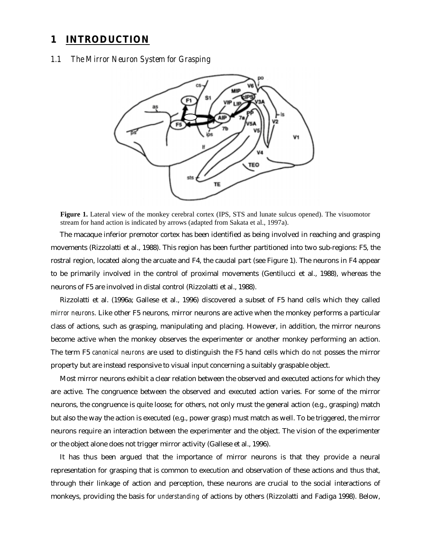# **1 INTRODUCTION**

#### *1.1 The Mirror Neuron System for Grasping*



**Figure 1.** Lateral view of the monkey cerebral cortex (IPS, STS and lunate sulcus opened). The visuomotor stream for hand action is indicated by arrows (adapted from Sakata et al., 1997a).

The macaque inferior premotor cortex has been identified as being involved in reaching and grasping movements (Rizzolatti et al., 1988). This region has been further partitioned into two sub-regions: F5, the rostral region, located along the arcuate and F4, the caudal part (see Figure 1). The neurons in F4 appear to be primarily involved in the control of proximal movements (Gentilucci et al., 1988), whereas the neurons of F5 are involved in distal control (Rizzolatti et al., 1988).

Rizzolatti et al. (1996a; Gallese et al., 1996) discovered a subset of F5 hand cells which they called *mirror neurons*. Like other F5 neurons, mirror neurons are active when the monkey performs a particular class of actions, such as grasping, manipulating and placing. However, in addition, the mirror neurons become active when the monkey observes the experimenter or another monkey performing an action. The term F5 *canonical neurons* are used to distinguish the F5 hand cells which do *not* posses the mirror property but are instead responsive to visual input concerning a suitably graspable object.

Most mirror neurons exhibit a clear relation between the observed and executed actions for which they are active. The congruence between the observed and executed action varies. For some of the mirror neurons, the congruence is quite loose; for others, not only must the general action (e.g., grasping) match but also the way the action is executed (e.g., power grasp) must match as well. To be triggered, the mirror neurons require an interaction between the experimenter and the object. The vision of the experimenter or the object alone does not trigger mirror activity (Gallese et al., 1996).

It has thus been argued that the importance of mirror neurons is that they provide a neural representation for grasping that is common to execution and observation of these actions and thus that, through their linkage of action and perception, these neurons are crucial to the social interactions of monkeys, providing the basis for *understanding* of actions by others (Rizzolatti and Fadiga 1998). Below,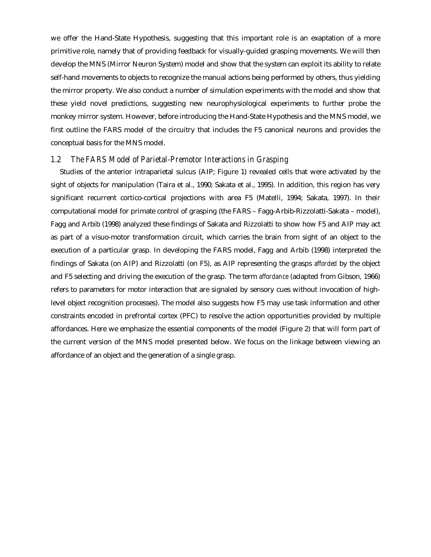we offer the Hand-State Hypothesis, suggesting that this important role is an exaptation of a more primitive role, namely that of providing feedback for visually-guided grasping movements. We will then develop the MNS (Mirror Neuron System) model and show that the system can exploit its ability to relate self-hand movements to objects to recognize the manual actions being performed by others, thus yielding the mirror property. We also conduct a number of simulation experiments with the model and show that these yield novel predictions, suggesting new neurophysiological experiments to further probe the monkey mirror system. However, before introducing the Hand-State Hypothesis and the MNS model, we first outline the FARS model of the circuitry that includes the F5 canonical neurons and provides the conceptual basis for the MNS model.

#### *1.2 The FARS Model of Parietal-Premotor Interactions in Grasping*

Studies of the anterior intraparietal sulcus (AIP; Figure 1) revealed cells that were activated by the sight of objects for manipulation (Taira et al., 1990; Sakata et al., 1995). In addition, this region has very significant recurrent cortico-cortical projections with area F5 (Matelli, 1994; Sakata, 1997). In their computational model for primate control of grasping (the FARS – Fagg-Arbib-Rizzolatti-Sakata – model), Fagg and Arbib (1998) analyzed these findings of Sakata and Rizzolatti to show how F5 and AIP may act as part of a visuo-motor transformation circuit, which carries the brain from sight of an object to the execution of a particular grasp. In developing the FARS model, Fagg and Arbib (1998) interpreted the findings of Sakata (on AIP) and Rizzolatti (on F5), as AIP representing the grasps *afforded* by the object and F5 selecting and driving the execution of the grasp. The term *affordance* (adapted from Gibson, 1966) refers to parameters for motor interaction that are signaled by sensory cues without invocation of highlevel object recognition processes). The model also suggests how F5 may use task information and other constraints encoded in prefrontal cortex (PFC) to resolve the action opportunities provided by multiple affordances. Here we emphasize the essential components of the model (Figure 2) that will form part of the current version of the MNS model presented below. We focus on the linkage between viewing an affordance of an object and the generation of a single grasp.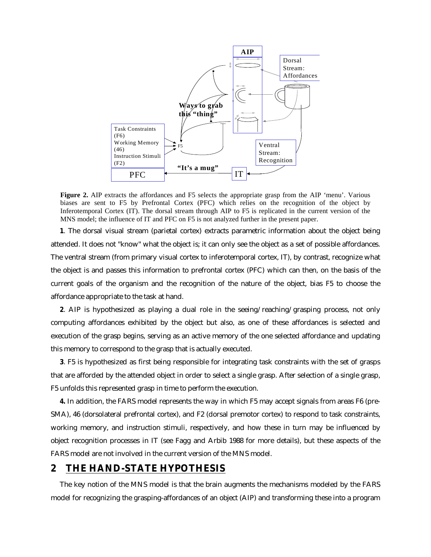

**Figure 2.** AIP extracts the affordances and F5 selects the appropriate grasp from the AIP 'menu'. Various biases are sent to F5 by Prefrontal Cortex (PFC) which relies on the recognition of the object by Inferotemporal Cortex (IT). The dorsal stream through AIP to F5 is replicated in the current version of the MNS model; the influence of IT and PFC on F5 is not analyzed further in the present paper.

**1**. The dorsal visual stream (parietal cortex) extracts parametric information about the object being attended. It does not "know" what the object is; it can only see the object as a set of possible affordances. The ventral stream (from primary visual cortex to inferotemporal cortex, IT), by contrast, recognize what the object is and passes this information to prefrontal cortex (PFC) which can then, on the basis of the current goals of the organism and the recognition of the nature of the object, bias F5 to choose the affordance appropriate to the task at hand.

**2**. AIP is hypothesized as playing a dual role in the seeing/reaching/grasping process, not only computing affordances exhibited by the object but also, as one of these affordances is selected and execution of the grasp begins, serving as an active memory of the one selected affordance and updating this memory to correspond to the grasp that is actually executed.

**3**. F5 is hypothesized as first being responsible for integrating task constraints with the set of grasps that are afforded by the attended object in order to select a single grasp. After selection of a single grasp, F5 unfolds this represented grasp in time to perform the execution.

**4.** In addition, the FARS model represents the way in which F5 may accept signals from areas F6 (pre-SMA), 46 (dorsolateral prefrontal cortex), and F2 (dorsal premotor cortex) to respond to task constraints, working memory, and instruction stimuli, respectively, and how these in turn may be influenced by object recognition processes in IT (see Fagg and Arbib 1988 for more details), but these aspects of the FARS model are not involved in the current version of the MNS model.

# **2 THE HAND-STATE HYPOTHESIS**

The key notion of the MNS model is that the brain augments the mechanisms modeled by the FARS model for recognizing the grasping-affordances of an object (AIP) and transforming these into a program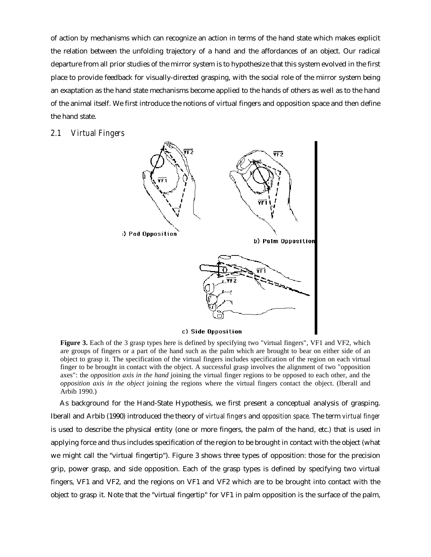of action by mechanisms which can recognize an action in terms of the hand state which makes explicit the relation between the unfolding trajectory of a hand and the affordances of an object. Our radical departure from all prior studies of the mirror system is to hypothesize that this system evolved in the first place to provide feedback for visually-directed grasping, with the social role of the mirror system being an exaptation as the hand state mechanisms become applied to the hands of others as well as to the hand of the animal itself. We first introduce the notions of virtual fingers and opposition space and then define the hand state.

### *2.1 Virtual Fingers*



c) Side Opposition

**Figure 3.** Each of the 3 grasp types here is defined by specifying two "virtual fingers", VF1 and VF2, which are groups of fingers or a part of the hand such as the palm which are brought to bear on either side of an object to grasp it. The specification of the virtual fingers includes specification of the region on each virtual finger to be brought in contact with the object. A successful grasp involves the alignment of two "opposition axes": the *opposition axis in the hand* joining the virtual finger regions to be opposed to each other, and the *opposition axis in the object* joining the regions where the virtual fingers contact the object. (Iberall and Arbib 1990.)

As background for the Hand-State Hypothesis, we first present a conceptual analysis of grasping. Iberall and Arbib (1990) introduced the theory of *virtual fingers* and *opposition space.* The term *virtual finger* is used to describe the physical entity (one or more fingers, the palm of the hand, etc.) that is used in applying force and thus includes specification of the region to be brought in contact with the object (what we might call the "virtual fingertip"). Figure 3 shows three types of opposition: those for the precision grip, power grasp, and side opposition. Each of the grasp types is defined by specifying two virtual fingers, VF1 and VF2, and the regions on VF1 and VF2 which are to be brought into contact with the object to grasp it. Note that the "virtual fingertip" for VF1 in palm opposition is the surface of the palm,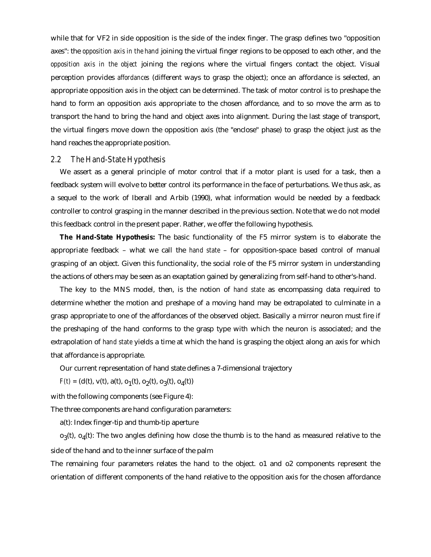while that for VF2 in side opposition is the side of the index finger. The grasp defines two "opposition axes": the *opposition axis in the hand* joining the virtual finger regions to be opposed to each other, and the *opposition axis in the object* joining the regions where the virtual fingers contact the object. Visual perception provides *affordances* (different ways to grasp the object); once an affordance is selected, an appropriate opposition axis in the object can be determined. The task of motor control is to preshape the hand to form an opposition axis appropriate to the chosen affordance, and to so move the arm as to transport the hand to bring the hand and object axes into alignment. During the last stage of transport, the virtual fingers move down the opposition axis (the "enclose" phase) to grasp the object just as the hand reaches the appropriate position.

#### *2.2 The Hand-State Hypothesis*

We assert as a general principle of motor control that if a motor plant is used for a task, then a feedback system will evolve to better control its performance in the face of perturbations. We thus ask, as a sequel to the work of Iberall and Arbib (1990), what information would be needed by a feedback controller to control grasping in the manner described in the previous section. Note that we do not model this feedback control in the present paper. Rather, we offer the following hypothesis.

**The Hand-State Hypothesis:** The basic functionality of the F5 mirror system is to elaborate the appropriate feedback – what we call the *hand state* – for opposition-space based control of manual grasping of an object. Given this functionality, the social role of the F5 mirror system in understanding the actions of others may be seen as an exaptation gained by generalizing from self-hand to other's-hand.

The key to the MNS model, then, is the notion of *hand state* as encompassing data required to determine whether the motion and preshape of a moving hand may be extrapolated to culminate in a grasp appropriate to one of the affordances of the observed object. Basically a mirror neuron must fire if the preshaping of the hand conforms to the grasp type with which the neuron is associated; and the extrapolation of *hand state* yields a time at which the hand is grasping the object along an axis for which that affordance is appropriate.

Our current representation of hand state defines a 7-dimensional trajectory

 $F(t) = (d(t), v(t), a(t), o_1(t), o_2(t), o_3(t), o_4(t))$ 

with the following components (see Figure 4):

The three components are hand configuration parameters:

a(t): Index finger-tip and thumb-tip aperture

 $o_3(t)$ ,  $o_4(t)$ : The two angles defining how close the thumb is to the hand as measured relative to the side of the hand and to the inner surface of the palm

The remaining four parameters relates the hand to the object. o1 and o2 components represent the orientation of different components of the hand relative to the opposition axis for the chosen affordance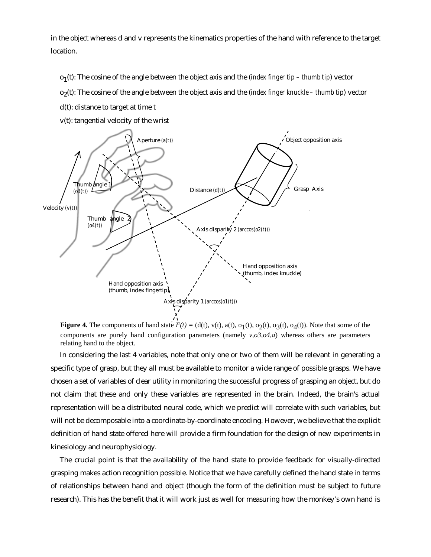in the object whereas d and v represents the kinematics properties of the hand with reference to the target location.

 $o_1(t)$ : The cosine of the angle between the object axis and the *(index finger tip – thumb tip*) vector

 $o_2(t)$ : The cosine of the angle between the object axis and the *(index finger knuckle – thumb tip*) vector

- d(t): distance to target at time t
- v(t): tangential velocity of the wrist



**Figure 4.** The components of hand state  $F(t) = (d(t), v(t), a(t), o_1(t), o_2(t), o_3(t), o_4(t))$ . Note that some of the components are purely hand configuration parameters (namely *v,o3,o4,a*) whereas others are parameters relating hand to the object.

In considering the last 4 variables, note that only one or two of them will be relevant in generating a specific type of grasp, but they all must be available to monitor a wide range of possible grasps. We have chosen a set of variables of clear utility in monitoring the successful progress of grasping an object, but do not claim that these and only these variables are represented in the brain. Indeed, the brain's actual representation will be a distributed neural code, which we predict will correlate with such variables, but will not be decomposable into a coordinate-by-coordinate encoding. However, we believe that the explicit definition of hand state offered here will provide a firm foundation for the design of new experiments in kinesiology and neurophysiology.

The crucial point is that the availability of the hand state to provide feedback for visually-directed grasping makes action recognition possible. Notice that we have carefully defined the hand state in terms of relationships between hand and object (though the form of the definition must be subject to future research). This has the benefit that it will work just as well for measuring how the monkey's own hand is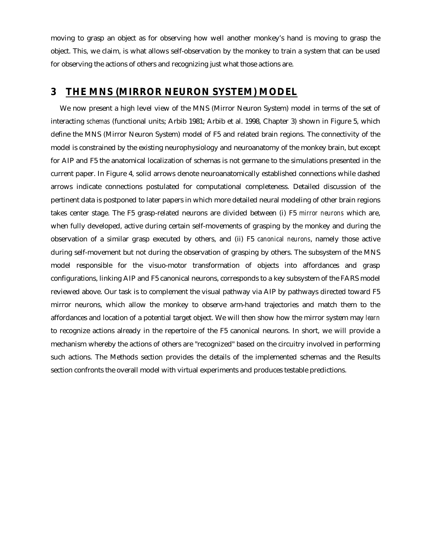moving to grasp an object as for observing how well another monkey's hand is moving to grasp the object. This, we claim, is what allows self-observation by the monkey to train a system that can be used for observing the actions of others and recognizing just what those actions are.

# **3 THE MNS (MIRROR NEURON SYSTEM) MODEL**

We now present a high level view of the MNS (Mirror Neuron System) model in terms of the set of interacting *schemas* (functional units; Arbib 1981; Arbib et al. 1998, Chapter 3) shown in Figure 5, which define the MNS (Mirror Neuron System) model of F5 and related brain regions. The connectivity of the model is constrained by the existing neurophysiology and neuroanatomy of the monkey brain, but except for AIP and F5 the anatomical localization of schemas is not germane to the simulations presented in the current paper. In Figure 4, solid arrows denote neuroanatomically established connections while dashed arrows indicate connections postulated for computational completeness. Detailed discussion of the pertinent data is postponed to later papers in which more detailed neural modeling of other brain regions takes center stage. The F5 grasp-related neurons are divided between (i) F5 *mirror neurons* which are, when fully developed, active during certain self-movements of grasping by the monkey and during the observation of a similar grasp executed by others, and (ii) F5 *canonical neurons*, namely those active during self-movement but not during the observation of grasping by others. The subsystem of the MNS model responsible for the visuo-motor transformation of objects into affordances and grasp configurations, linking AIP and F5 canonical neurons, corresponds to a key subsystem of the FARS model reviewed above. Our task is to complement the visual pathway via AIP by pathways directed toward F5 mirror neurons, which allow the monkey to observe arm-hand trajectories and match them to the affordances and location of a potential target object. We will then show how the mirror system may *learn*  to recognize actions already in the repertoire of the F5 canonical neurons. In short, we will provide a mechanism whereby the actions of others are "recognized" based on the circuitry involved in performing such actions. The Methods section provides the details of the implemented schemas and the Results section confronts the overall model with virtual experiments and produces testable predictions.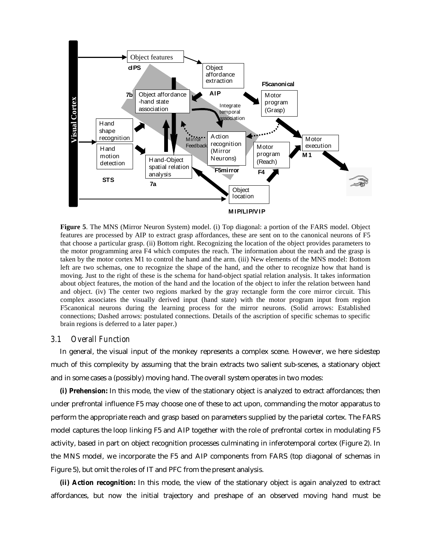

**Figure 5**. The MNS (Mirror Neuron System) model. (i) Top diagonal: a portion of the FARS model. Object features are processed by AIP to extract grasp affordances, these are sent on to the canonical neurons of F5 that choose a particular grasp. (ii) Bottom right. Recognizing the location of the object provides parameters to the motor programming area F4 which computes the reach. The information about the reach and the grasp is taken by the motor cortex M1 to control the hand and the arm. (iii) New elements of the MNS model: Bottom left are two schemas, one to recognize the shape of the hand, and the other to recognize how that hand is moving. Just to the right of these is the schema for hand-object spatial relation analysis. It takes information about object features, the motion of the hand and the location of the object to infer the relation between hand and object. (iv) The center two regions marked by the gray rectangle form the core mirror circuit. This complex associates the visually derived input (hand state) with the motor program input from region F5canonical neurons during the learning process for the mirror neurons. (Solid arrows: Established connections; Dashed arrows: postulated connections. Details of the ascription of specific schemas to specific brain regions is deferred to a later paper.)

#### *3.1 Overall Function*

In general, the visual input of the monkey represents a complex scene. However, we here sidestep much of this complexity by assuming that the brain extracts two salient sub-scenes, a stationary object and in some cases a (possibly) moving hand. The overall system operates in two modes:

**(i) Prehension:** In this mode, the view of the stationary object is analyzed to extract affordances; then under prefrontal influence F5 may choose one of these to act upon, commanding the motor apparatus to perform the appropriate reach and grasp based on parameters supplied by the parietal cortex. The FARS model captures the loop linking F5 and AIP together with the role of prefrontal cortex in modulating F5 activity, based in part on object recognition processes culminating in inferotemporal cortex (Figure 2). In the MNS model, we incorporate the F5 and AIP components from FARS (top diagonal of schemas in Figure 5), but omit the roles of IT and PFC from the present analysis.

**(ii) Action recognition:** In this mode, the view of the stationary object is again analyzed to extract affordances, but now the initial trajectory and preshape of an observed moving hand must be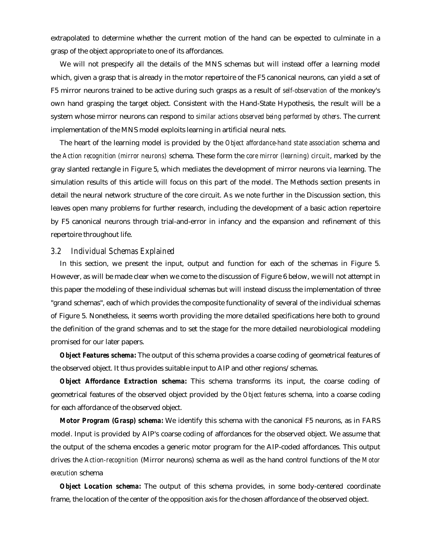extrapolated to determine whether the current motion of the hand can be expected to culminate in a grasp of the object appropriate to one of its affordances.

We will not prespecify all the details of the MNS schemas but will instead offer a learning model which, given a grasp that is already in the motor repertoire of the F5 canonical neurons, can yield a set of F5 mirror neurons trained to be active during such grasps as a result of *self-observation* of the monkey's own hand grasping the target object. Consistent with the Hand-State Hypothesis, the result will be a system whose mirror neurons can respond to *similar actions observed being performed by others*. The current implementation of the MNS model exploits learning in artificial neural nets.

The heart of the learning model is provided by the *Object affordance-hand state association* schema and the *Action recognition (mirror neurons)* schema. These form the *core mirror (learning) circuit*, marked by the gray slanted rectangle in Figure 5, which mediates the development of mirror neurons via learning. The simulation results of this article will focus on this part of the model. The Methods section presents in detail the neural network structure of the core circuit. As we note further in the Discussion section, this leaves open many problems for further research, including the development of a basic action repertoire by F5 canonical neurons through trial-and-error in infancy and the expansion and refinement of this repertoire throughout life.

#### *3.2 Individual Schemas Explained*

In this section, we present the input, output and function for each of the schemas in Figure 5. However, as will be made clear when we come to the discussion of Figure 6 below, we will not attempt in this paper the modeling of these individual schemas but will instead discuss the implementation of three "grand schemas", each of which provides the composite functionality of several of the individual schemas of Figure 5. Nonetheless, it seems worth providing the more detailed specifications here both to ground the definition of the grand schemas and to set the stage for the more detailed neurobiological modeling promised for our later papers.

*Object Features schema:* The output of this schema provides a coarse coding of geometrical features of the observed object. It thus provides suitable input to AIP and other regions/schemas.

*Object Affordance Extraction schema:* This schema transforms its input, the coarse coding of geometrical features of the observed object provided by the *Object features* schema, into a coarse coding for each affordance of the observed object.

*Motor Program (Grasp) schema:* We identify this schema with the canonical F5 neurons, as in FARS model. Input is provided by AIP's coarse coding of affordances for the observed object. We assume that the output of the schema encodes a generic motor program for the AIP-coded affordances. This output drives the *Action-recognition* (Mirror neurons) schema as well as the hand control functions of the *Motor execution* schema

*Object Location schema:* The output of this schema provides, in some body-centered coordinate frame, the location of the center of the opposition axis for the chosen affordance of the observed object.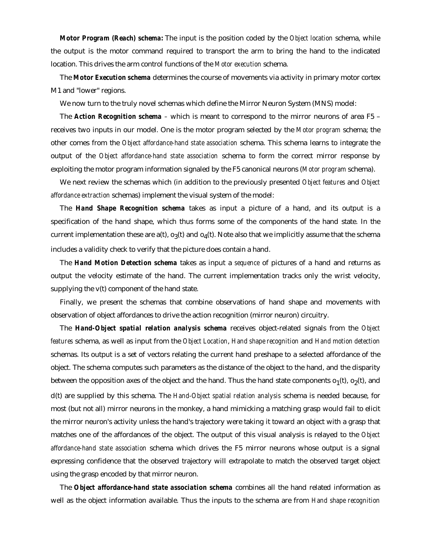*Motor Program (Reach) schema:* The input is the position coded by the *Object location* schema, while the output is the motor command required to transport the arm to bring the hand to the indicated location. This drives the arm control functions of the *Motor execution* schema.

The *Motor Execution schema* determines the course of movements via activity in primary motor cortex M1 and "lower" regions.

We now turn to the truly novel schemas which define the Mirror Neuron System (MNS) model:

The *Action Recognition schema –* which is meant to correspond to the mirror neurons of area F5 – receives two inputs in our model. One is the motor program selected by the *Motor program* schema; the other comes from the *Object affordance-hand state association* schema. This schema learns to integrate the output of the *Object affordance-hand state association* schema to form the correct mirror response by exploiting the motor program information signaled by the F5 canonical neurons (*Motor program* schema).

We next review the schemas which (in addition to the previously presented *Object features* and *Object affordance extraction* schemas) implement the visual system of the model:

The *Hand Shape Recognition schema* takes as input a picture of a hand, and its output is a specification of the hand shape, which thus forms some of the components of the hand state. In the current implementation these are  $a(t)$ ,  $o_3(t)$  and  $o_4(t)$ . Note also that we implicitly assume that the schema includes a validity check to verify that the picture does contain a hand.

The *Hand Motion Detection schema* takes as input a *sequence* of pictures of a hand and returns as output the velocity estimate of the hand. The current implementation tracks only the wrist velocity, supplying the v(t) component of the hand state.

Finally, we present the schemas that combine observations of hand shape and movements with observation of object affordances to drive the action recognition (mirror neuron) circuitry.

The *Hand-Object spatial relation analysis schema* receives object-related signals from the *Object features* schema, as well as input from the *Object Location*, *Hand shape recognition* and *Hand motion detection* schemas. Its output is a set of vectors relating the current hand preshape to a selected affordance of the object. The schema computes such parameters as the distance of the object to the hand, and the disparity between the opposition axes of the object and the hand. Thus the hand state components  $o_1(t)$ ,  $o_2(t)$ , and d(t) are supplied by this schema. The *Hand-Object spatial relation analysis* schema is needed because, for most (but not all) mirror neurons in the monkey, a hand mimicking a matching grasp would fail to elicit the mirror neuron's activity unless the hand's trajectory were taking it toward an object with a grasp that matches one of the affordances of the object. The output of this visual analysis is relayed to the *Object affordance-hand state association* schema which drives the F5 mirror neurons whose output is a signal expressing confidence that the observed trajectory will extrapolate to match the observed target object using the grasp encoded by that mirror neuron.

The *Object affordance-hand state association schema* combines all the hand related information as well as the object information available. Thus the inputs to the schema are from *Hand shape recognition*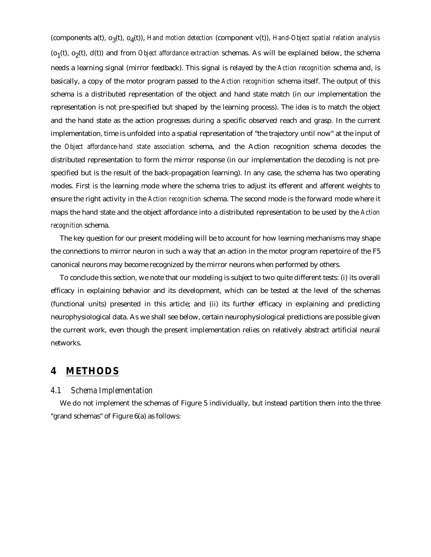(components  $a(t)$ ,  $o_3(t)$ ,  $o_4(t)$ ), *Hand motion detection* (component  $v(t)$ ), *Hand-Object spatial relation analysis*  $(o_1(t), o_2(t), d(t))$  and from *Object affordance extraction* schemas. As will be explained below, the schema needs a learning signal (mirror feedback). This signal is relayed by the *Action recognition* schema and, is basically, a copy of the motor program passed to the *Action recognition* schema itself. The output of this schema is a distributed representation of the object and hand state match (in our implementation the representation is not pre-specified but shaped by the learning process). The idea is to match the object and the hand state as the action progresses during a specific observed reach and grasp. In the current implementation, time is unfolded into a spatial representation of "the trajectory until now" at the input of the *Object affordance-hand state association* schema, and the Action recognition schema decodes the distributed representation to form the mirror response (in our implementation the decoding is not prespecified but is the result of the back-propagation learning). In any case, the schema has two operating modes. First is the learning mode where the schema tries to adjust its efferent and afferent weights to ensure the right activity in the *Action recognition* schema. The second mode is the forward mode where it maps the hand state and the object affordance into a distributed representation to be used by the *Action recognition* schema.

The key question for our present modeling will be to account for how learning mechanisms may shape the connections to mirror neuron in such a way that an action in the motor program repertoire of the F5 canonical neurons may become recognized by the mirror neurons when performed by others.

To conclude this section, we note that our modeling is subject to two quite different tests: (i) its overall efficacy in explaining behavior and its development, which can be tested at the level of the schemas (functional units) presented in this article; and (ii) its further efficacy in explaining and predicting neurophysiological data. As we shall see below, certain neurophysiological predictions are possible given the current work, even though the present implementation relies on relatively abstract artificial neural networks.

# **4 METHODS**

### *4.1 Schema Implementation*

We do not implement the schemas of Figure 5 individually, but instead partition them into the three "grand schemas" of Figure 6(a) as follows: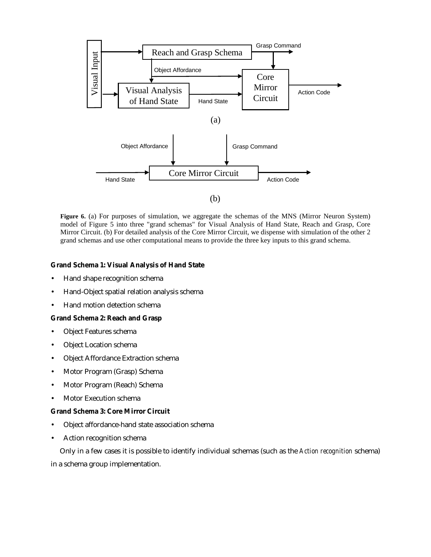

**Figure 6.** (a) For purposes of simulation, we aggregate the schemas of the MNS (Mirror Neuron System) model of Figure 5 into three "grand schemas" for Visual Analysis of Hand State, Reach and Grasp, Core Mirror Circuit. (b) For detailed analysis of the Core Mirror Circuit, we dispense with simulation of the other 2 grand schemas and use other computational means to provide the three key inputs to this grand schema.

#### **Grand Schema 1: Visual Analysis of Hand State**

- Hand shape recognition schema
- Hand-Object spatial relation analysis schema
- Hand motion detection schema

#### **Grand Schema 2: Reach and Grasp**

- Object Features schema
- Object Location schema
- Object Affordance Extraction schema
- Motor Program (Grasp) Schema
- Motor Program (Reach) Schema
- Motor Execution schema

#### **Grand Schema 3: Core Mirror Circuit**

- Object affordance-hand state association schema
- Action recognition schema

Only in a few cases it is possible to identify individual schemas (such as the *Action recognition* schema) in a schema group implementation.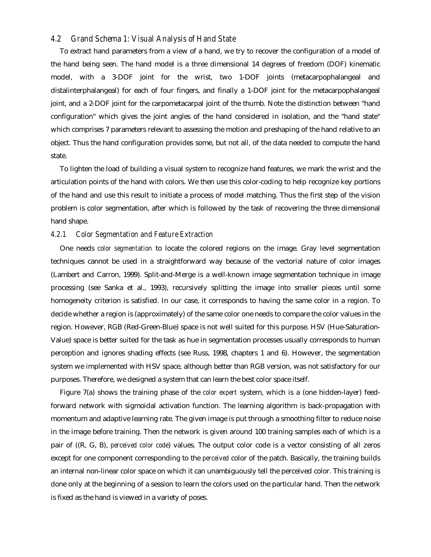### *4.2 Grand Schema 1: Visual Analysis of Hand State*

To extract hand parameters from a view of a hand, we try to recover the configuration of a model of the hand being seen. The hand model is a three dimensional 14 degrees of freedom (DOF) kinematic model, with a 3-DOF joint for the wrist, two 1-DOF joints (metacarpophalangeal and distalinterphalangeal) for each of four fingers, and finally a 1-DOF joint for the metacarpophalangeal joint, and a 2-DOF joint for the carpometacarpal joint of the thumb. Note the distinction between "hand configuration" which gives the joint angles of the hand considered in isolation, and the "hand state" which comprises 7 parameters relevant to assessing the motion and preshaping of the hand relative to an object. Thus the hand configuration provides some, but not all, of the data needed to compute the hand state.

To lighten the load of building a visual system to recognize hand features, we mark the wrist and the articulation points of the hand with colors. We then use this color-coding to help recognize key portions of the hand and use this result to initiate a process of model matching. Thus the first step of the vision problem is color segmentation, after which is followed by the task of recovering the three dimensional hand shape.

#### *4.2.1 Color Segmentation and Feature Extraction*

One needs *color segmentation* to locate the colored regions on the image. Gray level segmentation techniques cannot be used in a straightforward way because of the vectorial nature of color images (Lambert and Carron, 1999). Split-and-Merge is a well-known image segmentation technique in image processing (see Sanka et al., 1993), recursively splitting the image into smaller pieces until some homogeneity criterion is satisfied. In our case, it corresponds to having the same color in a region. To decide whether a region is (approximately) of the same color one needs to compare the color values in the region. However, RGB (Red-Green-Blue) space is not well suited for this purpose. HSV (Hue-Saturation-Value) space is better suited for the task as hue in segmentation processes usually corresponds to human perception and ignores shading effects (see Russ, 1998, chapters 1 and 6). However, the segmentation system we implemented with HSV space, although better than RGB version, was not satisfactory for our purposes. Therefore, we designed a system that can learn the best color space itself.

Figure 7(a) shows the training phase of the *color expert* system, which is a (one hidden-layer) feedforward network with sigmoidal activation function. The learning algorithm is back-propagation with momentum and adaptive learning rate. The given image is put through a smoothing filter to reduce noise in the image before training. Then the network is given around 100 training samples each of which is a pair of ((R, G, B), *perceived color code*) values. The output color code is a vector consisting of all zeros except for one component corresponding to the *perceived* color of the patch. Basically, the training builds an internal non-linear color space on which it can unambiguously tell the perceived color. This training is done only at the beginning of a session to learn the colors used on the particular hand. Then the network is fixed as the hand is viewed in a variety of poses.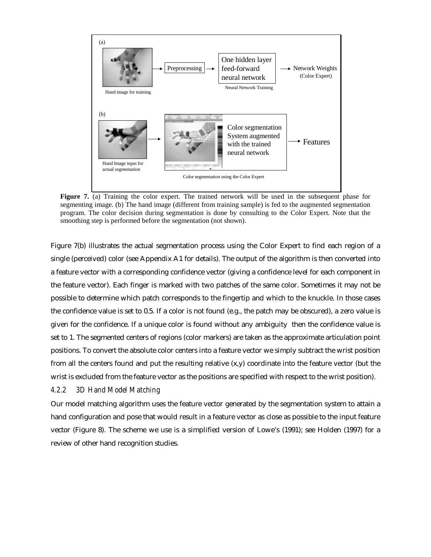

**Figure 7.** (a) Training the color expert. The trained network will be used in the subsequent phase for segmenting image. (b) The hand image (different from training sample) is fed to the augmented segmentation program. The color decision during segmentation is done by consulting to the Color Expert. Note that the smoothing step is performed before the segmentation (not shown).

Figure 7(b) illustrates the actual segmentation process using the Color Expert to find each region of a single (perceived) color (see Appendix A1 for details). The output of the algorithm is then converted into a feature vector with a corresponding confidence vector (giving a confidence level for each component in the feature vector). Each finger is marked with two patches of the same color. Sometimes it may not be possible to determine which patch corresponds to the fingertip and which to the knuckle. In those cases the confidence value is set to 0.5. If a color is not found (e.g., the patch may be obscured), a zero value is given for the confidence. If a unique color is found without any ambiguity then the confidence value is set to 1. The segmented centers of regions (color markers) are taken as the approximate articulation point positions. To convert the absolute color centers into a feature vector we simply subtract the wrist position from all the centers found and put the resulting relative  $(x,y)$  coordinate into the feature vector (but the wrist is excluded from the feature vector as the positions are specified with respect to the wrist position).

### *4.2.2 3D Hand Model Matching*

Our model matching algorithm uses the feature vector generated by the segmentation system to attain a hand configuration and pose that would result in a feature vector as close as possible to the input feature vector (Figure 8). The scheme we use is a simplified version of Lowe's (1991); see Holden (1997) for a review of other hand recognition studies.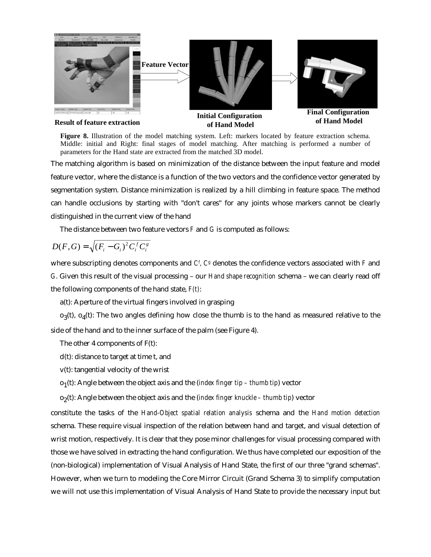

**Result of feature extraction**

**of Hand Model**

**of Hand Model**

**Figure 8.** Illustration of the model matching system. Left: markers located by feature extraction schema. Middle: initial and Right: final stages of model matching. After matching is performed a number of parameters for the Hand state are extracted from the matched 3D model.

The matching algorithm is based on minimization of the distance between the input feature and model feature vector, where the distance is a function of the two vectors and the confidence vector generated by segmentation system. Distance minimization is realized by a hill climbing in feature space. The method can handle occlusions by starting with "don't cares" for any joints whose markers cannot be clearly distinguished in the current view of the hand

The distance between two feature vectors *F* and *G* is computed as follows:

$$
D(F,G) = \sqrt{(F_i - G_i)^2 C_i^f C_i^g}
$$

where subscripting denotes components and *C<sup>r</sup>*, *C<sup>g</sup>* denotes the confidence vectors associated with *F* and *G*. Given this result of the visual processing – our *Hand shape recognition* schema – we can clearly read off the following components of the hand state, *F(t)*:

a(t): Aperture of the virtual fingers involved in grasping

 $o_3(t)$ ,  $o_4(t)$ : The two angles defining how close the thumb is to the hand as measured relative to the side of the hand and to the inner surface of the palm (see Figure 4).

The other 4 components of F(t):

- d(t): distance to target at time t, and
- v(t): tangential velocity of the wrist
- $o_1(t)$ : Angle between the object axis and the *(index finger tip thumb tip)* vector
- o2(t): Angle between the object axis and the (*index finger knuckle thumb tip*) vector

constitute the tasks of the *Hand-Object spatial relation analysis* schema and the *Hand motion detection* schema. These require visual inspection of the relation between hand and target, and visual detection of wrist motion, respectively. It is clear that they pose minor challenges for visual processing compared with those we have solved in extracting the hand configuration. We thus have completed our exposition of the (non-biological) implementation of Visual Analysis of Hand State, the first of our three "grand schemas". However, when we turn to modeling the Core Mirror Circuit (Grand Schema 3) to simplify computation we will not use this implementation of Visual Analysis of Hand State to provide the necessary input but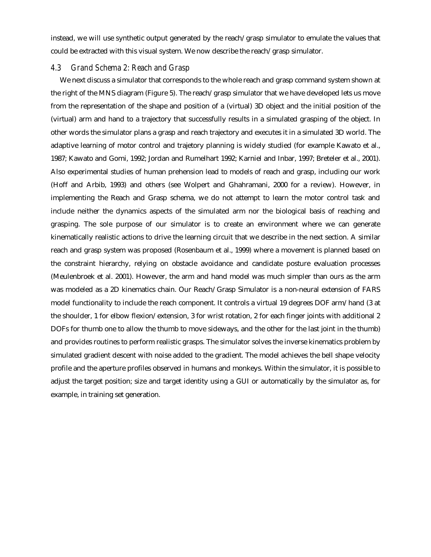instead, we will use synthetic output generated by the reach/grasp simulator to emulate the values that could be extracted with this visual system. We now describe the reach/grasp simulator.

### *4.3 Grand Schema 2: Reach and Grasp*

We next discuss a simulator that corresponds to the whole reach and grasp command system shown at the right of the MNS diagram (Figure 5). The reach/grasp simulator that we have developed lets us move from the representation of the shape and position of a (virtual) 3D object and the initial position of the (virtual) arm and hand to a trajectory that successfully results in a simulated grasping of the object. In other words the simulator plans a grasp and reach trajectory and executes it in a simulated 3D world. The adaptive learning of motor control and trajetory planning is widely studied (for example Kawato et al., 1987; Kawato and Gomi, 1992; Jordan and Rumelhart 1992; Karniel and Inbar, 1997; Breteler et al., 2001). Also experimental studies of human prehension lead to models of reach and grasp, including our work (Hoff and Arbib, 1993) and others (see Wolpert and Ghahramani, 2000 for a review). However, in implementing the Reach and Grasp schema, we do not attempt to learn the motor control task and include neither the dynamics aspects of the simulated arm nor the biological basis of reaching and grasping. The sole purpose of our simulator is to create an environment where we can generate kinematically realistic actions to drive the learning circuit that we describe in the next section. A similar reach and grasp system was proposed (Rosenbaum et al., 1999) where a movement is planned based on the constraint hierarchy, relying on obstacle avoidance and candidate posture evaluation processes (Meulenbroek et al. 2001). However, the arm and hand model was much simpler than ours as the arm was modeled as a 2D kinematics chain. Our Reach/Grasp Simulator is a non-neural extension of FARS model functionality to include the reach component. It controls a virtual 19 degrees DOF arm/hand (3 at the shoulder, 1 for elbow flexion/extension, 3 for wrist rotation, 2 for each finger joints with additional 2 DOFs for thumb one to allow the thumb to move sideways, and the other for the last joint in the thumb) and provides routines to perform realistic grasps. The simulator solves the inverse kinematics problem by simulated gradient descent with noise added to the gradient. The model achieves the bell shape velocity profile and the aperture profiles observed in humans and monkeys. Within the simulator, it is possible to adjust the target position; size and target identity using a GUI or automatically by the simulator as, for example, in training set generation.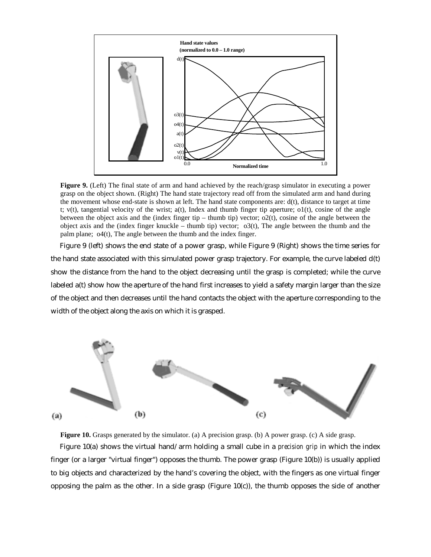

**Figure 9.** (Left) The final state of arm and hand achieved by the reach/grasp simulator in executing a power grasp on the object shown. (Right) The hand state trajectory read off from the simulated arm and hand during the movement whose end-state is shown at left. The hand state components are: d(t), distance to target at time t; v(t), tangential velocity of the wrist; a(t), Index and thumb finger tip aperture; o1(t), cosine of the angle between the object axis and the (index finger tip – thumb tip) vector; o2(t), cosine of the angle between the object axis and the (index finger knuckle – thumb tip) vector;  $o3(t)$ , The angle between the thumb and the palm plane; o4(t), The angle between the thumb and the index finger.

Figure 9 (left) shows the end state of a power grasp, while Figure 9 (Right) shows the time series for the hand state associated with this simulated power grasp trajectory. For example, the curve labeled d(t) show the distance from the hand to the object decreasing until the grasp is completed; while the curve labeled a(t) show how the aperture of the hand first increases to yield a safety margin larger than the size of the object and then decreases until the hand contacts the object with the aperture corresponding to the width of the object along the axis on which it is grasped.





Figure 10(a) shows the virtual hand/arm holding a small cube in a *precision grip* in which the index finger (or a larger "virtual finger") opposes the thumb. The power grasp (Figure 10(b)) is usually applied to big objects and characterized by the hand's covering the object, with the fingers as one virtual finger opposing the palm as the other. In a side grasp (Figure 10 $(c)$ ), the thumb opposes the side of another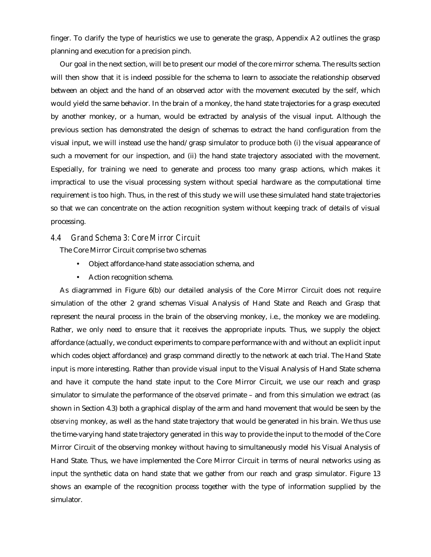finger. To clarify the type of heuristics we use to generate the grasp, Appendix A2 outlines the grasp planning and execution for a precision pinch.

Our goal in the next section, will be to present our model of the core mirror schema. The results section will then show that it is indeed possible for the schema to learn to associate the relationship observed between an object and the hand of an observed actor with the movement executed by the self, which would yield the same behavior. In the brain of a monkey, the hand state trajectories for a grasp executed by another monkey, or a human, would be extracted by analysis of the visual input. Although the previous section has demonstrated the design of schemas to extract the hand configuration from the visual input, we will instead use the hand/grasp simulator to produce both (i) the visual appearance of such a movement for our inspection, and (ii) the hand state trajectory associated with the movement. Especially, for training we need to generate and process too many grasp actions, which makes it impractical to use the visual processing system without special hardware as the computational time requirement is too high. Thus, in the rest of this study we will use these simulated hand state trajectories so that we can concentrate on the action recognition system without keeping track of details of visual processing.

#### *4.4 Grand Schema 3: Core Mirror Circuit*

The Core Mirror Circuit comprise two schemas

- Object affordance-hand state association schema, and
- Action recognition schema.

As diagrammed in Figure 6(b) our detailed analysis of the Core Mirror Circuit does not require simulation of the other 2 grand schemas Visual Analysis of Hand State and Reach and Grasp that represent the neural process in the brain of the observing monkey, i.e., the monkey we are modeling. Rather, we only need to ensure that it receives the appropriate inputs. Thus, we supply the object affordance (actually, we conduct experiments to compare performance with and without an explicit input which codes object affordance) and grasp command directly to the network at each trial. The Hand State input is more interesting. Rather than provide visual input to the Visual Analysis of Hand State schema and have it compute the hand state input to the Core Mirror Circuit, we use our reach and grasp simulator to simulate the performance of the *observed* primate – and from this simulation we extract (as shown in Section 4.3) both a graphical display of the arm and hand movement that would be seen by the *observing* monkey, as well as the hand state trajectory that would be generated in his brain. We thus use the time-varying hand state trajectory generated in this way to provide the input to the model of the Core Mirror Circuit of the observing monkey without having to simultaneously model his Visual Analysis of Hand State. Thus, we have implemented the Core Mirror Circuit in terms of neural networks using as input the synthetic data on hand state that we gather from our reach and grasp simulator. Figure 13 shows an example of the recognition process together with the type of information supplied by the simulator.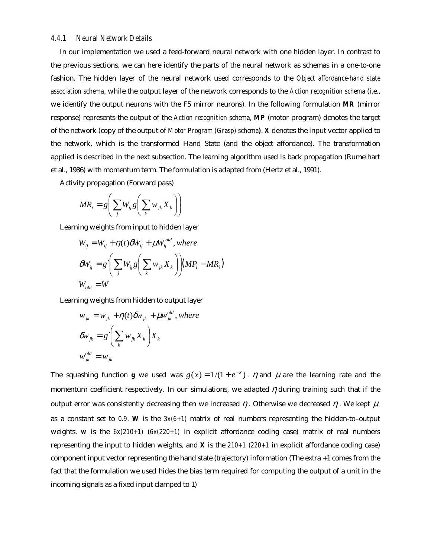#### *4.4.1 Neural Network Details*

In our implementation we used a feed-forward neural network with one hidden layer. In contrast to the previous sections, we can here identify the parts of the neural network as schemas in a one-to-one fashion. The hidden layer of the neural network used corresponds to the *Object affordance-hand state association schema*, while the output layer of the network corresponds to the *Action recognition schema* (i.e., we identify the output neurons with the F5 mirror neurons)*.* In the following formulation *MR* (mirror response) represents the output of the *Action recognition schema*, *MP* (motor program) denotes the target of the network (copy of the output of *Motor Program (Grasp) schema)*. *X* denotes the input vector applied to the network, which is the transformed Hand State (and the object affordance). The transformation applied is described in the next subsection. The learning algorithm used is back propagation (Rumelhart et al., 1986) with momentum term. The formulation is adapted from (Hertz et al., 1991).

Activity propagation (Forward pass)

$$
MR_i = g\bigg(\sum_j W_{ij} g\bigg(\sum_k w_{jk} X_k\bigg)\bigg)
$$

Learning weights from input to hidden layer

$$
W_{ij} = W_{ij} + \eta(t)\delta W_{ij} + \mu W_{ij}^{old}, where
$$
  
\n
$$
\delta W_{ij} = g \left( \sum_{j} W_{ij} g \left( \sum_{k} w_{jk} X_{k} \right) \right) (MP_{i} - MR_{i})
$$
  
\n
$$
W_{old} = W
$$

Learning weights from hidden to output layer

$$
w_{jk} = w_{jk} + \eta(t)\delta w_{jk} + \mu w_{jk}^{old}, where
$$
  

$$
\delta w_{jk} = g' \left(\sum_{k} w_{jk} X_k\right) X_k
$$
  

$$
w_{jk}^{old} = w_{jk}
$$

The squashing function *g* we used was  $g(x) = 1/(1 + e^{-x})$ .  $\eta$  and  $\mu$  are the learning rate and the momentum coefficient respectively. In our simulations, we adapted  $\eta$  during training such that if the output error was consistently decreasing then we increased  $\eta$ . Otherwise we decreased  $\eta$ . We kept  $\mu$ as a constant set to 0.9. W is the  $3x(6+1)$  matrix of real numbers representing the hidden-to-output weights. *w* is the *6x(210+1)* (*6x(220+1)* in explicit affordance coding case) matrix of real numbers representing the input to hidden weights, and *X* is the *210+1* (*220+1* in explicit affordance coding case) component input vector representing the hand state (trajectory) information (The extra +1 comes from the fact that the formulation we used hides the bias term required for computing the output of a unit in the incoming signals as a fixed input clamped to 1)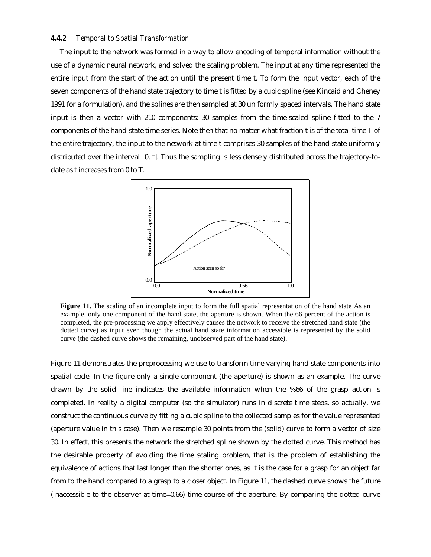#### *4.4.2 Temporal to Spatial Transformation*

The input to the network was formed in a way to allow encoding of temporal information without the use of a dynamic neural network, and solved the scaling problem. The input at any time represented the entire input from the start of the action until the present time t. To form the input vector, each of the seven components of the hand state trajectory to time t is fitted by a cubic spline (see Kincaid and Cheney 1991 for a formulation), and the splines are then sampled at 30 uniformly spaced intervals. The hand state input is then a vector with 210 components: 30 samples from the time-scaled spline fitted to the 7 components of the hand-state time series. Note then that no matter what fraction t is of the total time T of the entire trajectory, the input to the network at time t comprises 30 samples of the hand-state uniformly distributed over the interval [0, t]. Thus the sampling is less densely distributed across the trajectory-todate as t increases from 0 to T.



**Figure 11**. The scaling of an incomplete input to form the full spatial representation of the hand state As an example, only one component of the hand state, the aperture is shown. When the 66 percent of the action is completed, the pre-processing we apply effectively causes the network to receive the stretched hand state (the dotted curve) as input even though the actual hand state information accessible is represented by the solid curve (the dashed curve shows the remaining, unobserved part of the hand state).

Figure 11 demonstrates the preprocessing we use to transform time varying hand state components into spatial code. In the figure only a single component (the aperture) is shown as an example. The curve drawn by the solid line indicates the available information when the %66 of the grasp action is completed. In reality a digital computer (so the simulator) runs in discrete time steps, so actually, we construct the continuous curve by fitting a cubic spline to the collected samples for the value represented (aperture value in this case). Then we resample 30 points from the (solid) curve to form a vector of size 30. In effect, this presents the network the stretched spline shown by the dotted curve. This method has the desirable property of avoiding the time scaling problem, that is the problem of establishing the equivalence of actions that last longer than the shorter ones, as it is the case for a grasp for an object far from to the hand compared to a grasp to a closer object. In Figure 11, the dashed curve shows the future (inaccessible to the observer at time=0.66) time course of the aperture. By comparing the dotted curve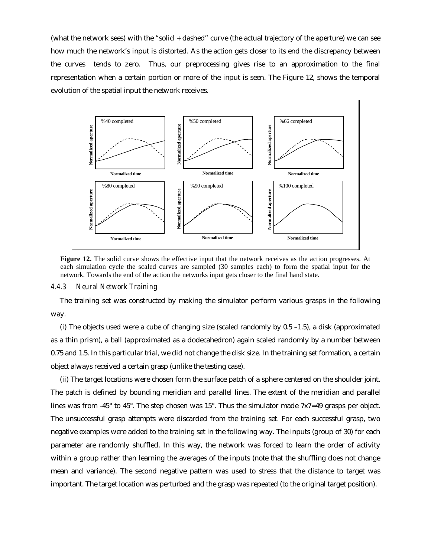(what the network sees) with the "solid + dashed" curve (the actual trajectory of the aperture) we can see how much the network's input is distorted. As the action gets closer to its end the discrepancy between the curves tends to zero. Thus, our preprocessing gives rise to an approximation to the final representation when a certain portion or more of the input is seen. The Figure 12, shows the temporal evolution of the spatial input the network receives.



**Figure 12.** The solid curve shows the effective input that the network receives as the action progresses. At each simulation cycle the scaled curves are sampled (30 samples each) to form the spatial input for the network. Towards the end of the action the networks input gets closer to the final hand state.

#### *4.4.3 Neural Network Training*

The training set was constructed by making the simulator perform various grasps in the following way.

(i) The objects used were a cube of changing size (scaled randomly by  $0.5 -1.5$ ), a disk (approximated as a thin prism), a ball (approximated as a dodecahedron) again scaled randomly by a number between 0.75 and 1.5. In this particular trial, we did not change the disk size. In the training set formation, a certain object always received a certain grasp (unlike the testing case).

(ii) The target locations were chosen form the surface patch of a sphere centered on the shoulder joint. The patch is defined by bounding meridian and parallel lines. The extent of the meridian and parallel lines was from -45° to 45°. The step chosen was 15°. Thus the simulator made 7x7=49 grasps per object. The unsuccessful grasp attempts were discarded from the training set. For each successful grasp, two negative examples were added to the training set in the following way. The inputs (group of 30) for each parameter are randomly shuffled. In this way, the network was forced to learn the order of activity within a group rather than learning the averages of the inputs (note that the shuffling does not change mean and variance). The second negative pattern was used to stress that the distance to target was important. The target location was perturbed and the grasp was repeated (to the original target position).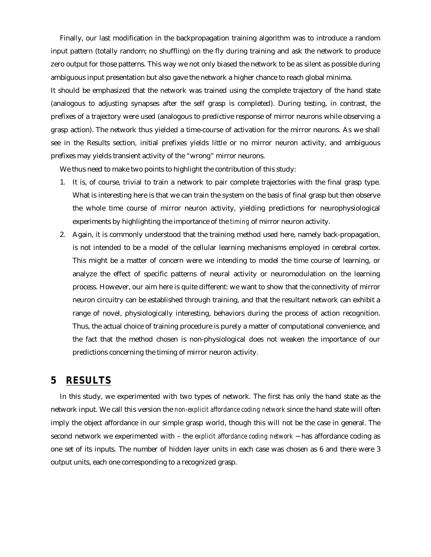Finally, our last modification in the backpropagation training algorithm was to introduce a random input pattern (totally random; no shuffling) on the fly during training and ask the network to produce zero output for those patterns. This way we not only biased the network to be as silent as possible during ambiguous input presentation but also gave the network a higher chance to reach global minima.

It should be emphasized that the network was trained using the complete trajectory of the hand state (analogous to adjusting synapses after the self grasp is completed). During testing, in contrast, the prefixes of a trajectory were used (analogous to predictive response of mirror neurons while observing a grasp action). The network thus yielded a time-course of activation for the mirror neurons. As we shall see in the Results section, initial prefixes yields little or no mirror neuron activity, and ambiguous prefixes may yields transient activity of the "wrong" mirror neurons.

We thus need to make two points to highlight the contribution of this study:

- 1. It is, of course, trivial to train a network to pair complete trajectories with the final grasp type. What is interesting here is that we can train the system on the basis of final grasp but then observe the whole time course of mirror neuron activity, yielding predictions for neurophysiological experiments by highlighting the importance of the *timing* of mirror neuron activity.
- 2. Again, it is commonly understood that the training method used here, namely back-propagation, is not intended to be a model of the cellular learning mechanisms employed in cerebral cortex. This might be a matter of concern were we intending to model the time course of learning, or analyze the effect of specific patterns of neural activity or neuromodulation on the learning process. However, our aim here is quite different: we want to show that the connectivity of mirror neuron circuitry can be established through training, and that the resultant network can exhibit a range of novel, physiologically interesting, behaviors during the process of action recognition. Thus, the actual choice of training procedure is purely a matter of computational convenience, and the fact that the method chosen is non-physiological does not weaken the importance of our predictions concerning the timing of mirror neuron activity.

# **5 RESULTS**

In this study, we experimented with two types of network. The first has only the hand state as the network input. We call this version the *non-explicit affordance coding network* since the hand state will often imply the object affordance in our simple grasp world, though this will not be the case in general. The second network we experimented with – the *explicit affordance coding network* − has affordance coding as one set of its inputs. The number of hidden layer units in each case was chosen as 6 and there were 3 output units, each one corresponding to a recognized grasp.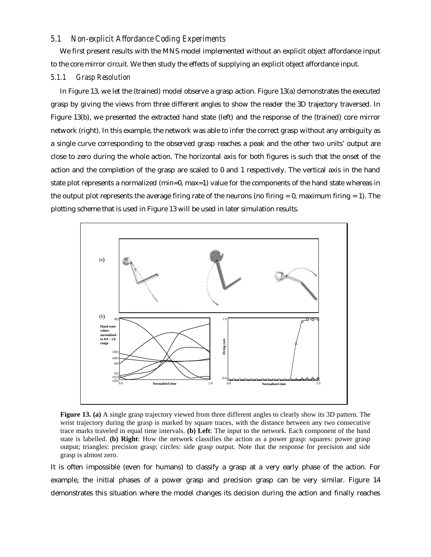### *5.1 Non-explicit Affordance Coding Experiments*

We first present results with the MNS model implemented without an explicit object affordance input to the core mirror circuit. We then study the effects of supplying an explicit object affordance input.

#### *5.1.1 Grasp Resolution*

In Figure 13, we let the (trained) model observe a grasp action. Figure 13(a) demonstrates the executed grasp by giving the views from three different angles to show the reader the 3D trajectory traversed. In Figure 13(b), we presented the extracted hand state (left) and the response of the (trained) core mirror network (right). In this example, the network was able to infer the correct grasp without any ambiguity as a single curve corresponding to the observed grasp reaches a peak and the other two units' output are close to zero during the whole action. The horizontal axis for both figures is such that the onset of the action and the completion of the grasp are scaled to 0 and 1 respectively. The vertical axis in the hand state plot represents a normalized (min=0, max=1) value for the components of the hand state whereas in the output plot represents the average firing rate of the neurons (no firing  $= 0$ , maximum firing  $= 1$ ). The plotting scheme that is used in Figure 13 will be used in later simulation results.



**Figure 13. (a)** A single grasp trajectory viewed from three different angles to clearly show its 3D pattern. The wrist trajectory during the grasp is marked by square traces, with the distance between any two consecutive trace marks traveled in equal time intervals. **(b) Left**: The input to the network. Each component of the hand state is labelled. **(b) Right**: How the network classifies the action as a power grasp: squares: power grasp output; triangles: precision grasp; circles: side grasp output. Note that the response for precision and side grasp is almost zero.

It is often impossible (even for humans) to classify a grasp at a very early phase of the action. For example, the initial phases of a power grasp and precision grasp can be very similar. Figure 14 demonstrates this situation where the model changes its decision during the action and finally reaches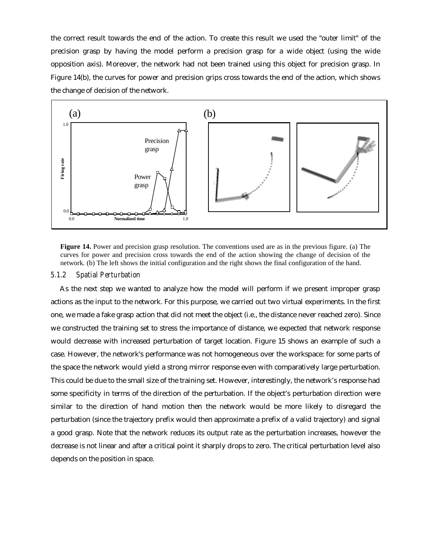the correct result towards the end of the action. To create this result we used the "outer limit" of the precision grasp by having the model perform a precision grasp for a wide object (using the wide opposition axis). Moreover, the network had not been trained using this object for precision grasp. In Figure 14(b), the curves for power and precision grips cross towards the end of the action, which shows the change of decision of the network.



**Figure 14.** Power and precision grasp resolution. The conventions used are as in the previous figure. (a) The curves for power and precision cross towards the end of the action showing the change of decision of the network. (b) The left shows the initial configuration and the right shows the final configuration of the hand.

#### *5.1.2 Spatial Perturbation*

As the next step we wanted to analyze how the model will perform if we present improper grasp actions as the input to the network. For this purpose, we carried out two virtual experiments. In the first one, we made a fake grasp action that did not meet the object (i.e., the distance never reached zero). Since we constructed the training set to stress the importance of distance, we expected that network response would decrease with increased perturbation of target location. Figure 15 shows an example of such a case. However, the network's performance was not homogeneous over the workspace: for some parts of the space the network would yield a strong mirror response even with comparatively large perturbation. This could be due to the small size of the training set. However, interestingly, the network's response had some specificity in terms of the direction of the perturbation. If the object's perturbation direction were similar to the direction of hand motion then the network would be more likely to disregard the perturbation (since the trajectory prefix would then approximate a prefix of a valid trajectory) and signal a good grasp. Note that the network reduces its output rate as the perturbation increases, however the decrease is not linear and after a critical point it sharply drops to zero. The critical perturbation level also depends on the position in space.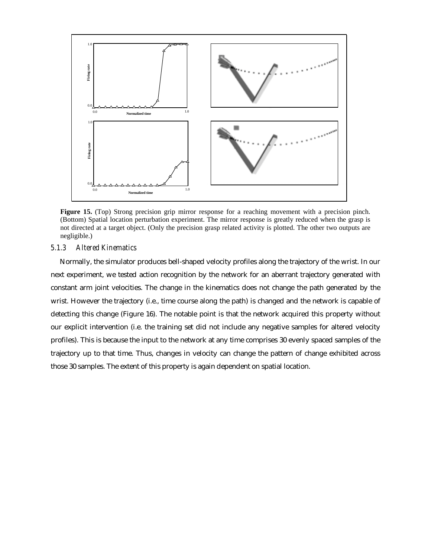

**Figure 15.** (Top) Strong precision grip mirror response for a reaching movement with a precision pinch. (Bottom) Spatial location perturbation experiment. The mirror response is greatly reduced when the grasp is not directed at a target object. (Only the precision grasp related activity is plotted. The other two outputs are negligible.)

### *5.1.3 Altered Kinematics*

Normally, the simulator produces bell-shaped velocity profiles along the trajectory of the wrist. In our next experiment, we tested action recognition by the network for an aberrant trajectory generated with constant arm joint velocities. The change in the kinematics does not change the path generated by the wrist. However the trajectory (i.e., time course along the path) is changed and the network is capable of detecting this change (Figure 16). The notable point is that the network acquired this property without our explicit intervention (i.e. the training set did not include any negative samples for altered velocity profiles). This is because the input to the network at any time comprises 30 evenly spaced samples of the trajectory up to that time. Thus, changes in velocity can change the pattern of change exhibited across those 30 samples. The extent of this property is again dependent on spatial location.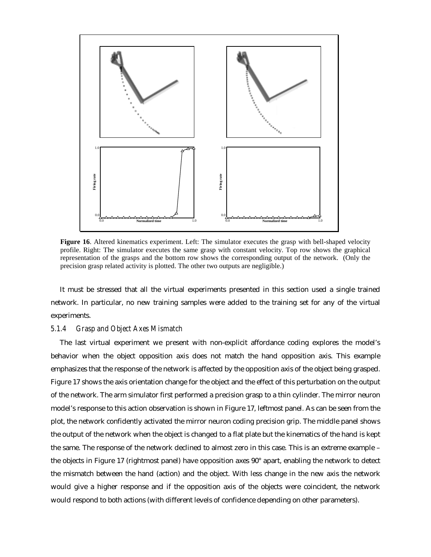

**Figure 16**. Altered kinematics experiment. Left: The simulator executes the grasp with bell-shaped velocity profile. Right: The simulator executes the same grasp with constant velocity. Top row shows the graphical representation of the grasps and the bottom row shows the corresponding output of the network. (Only the precision grasp related activity is plotted. The other two outputs are negligible.)

It must be stressed that all the virtual experiments presented in this section used a single trained network. In particular, no new training samples were added to the training set for any of the virtual experiments.

#### *5.1.4 Grasp and Object Axes Mismatch*

The last virtual experiment we present with non-explicit affordance coding explores the model's behavior when the object opposition axis does not match the hand opposition axis. This example emphasizes that the response of the network is affected by the opposition axis of the object being grasped. Figure 17 shows the axis orientation change for the object and the effect of this perturbation on the output of the network. The arm simulator first performed a precision grasp to a thin cylinder. The mirror neuron model's response to this action observation is shown in Figure 17, leftmost panel. As can be seen from the plot, the network confidently activated the mirror neuron coding precision grip. The middle panel shows the output of the network when the object is changed to a flat plate but the kinematics of the hand is kept the same. The response of the network declined to almost zero in this case. This is an extreme example – the objects in Figure 17 (rightmost panel) have opposition axes 90° apart, enabling the network to detect the mismatch between the hand (action) and the object. With less change in the new axis the network would give a higher response and if the opposition axis of the objects were coincident, the network would respond to both actions (with different levels of confidence depending on other parameters).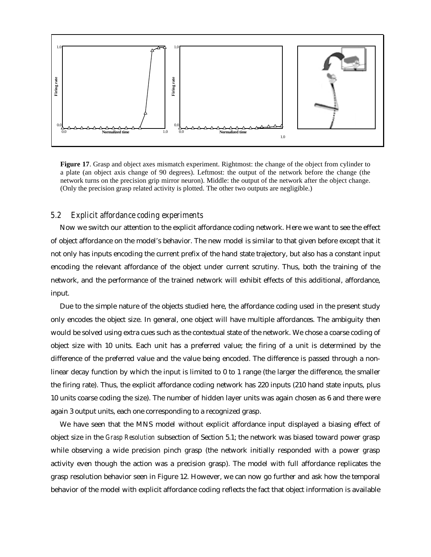

**Figure 17**. Grasp and object axes mismatch experiment. Rightmost: the change of the object from cylinder to a plate (an object axis change of 90 degrees). Leftmost: the output of the network before the change (the network turns on the precision grip mirror neuron). Middle: the output of the network after the object change. (Only the precision grasp related activity is plotted. The other two outputs are negligible.)

#### *5.2 Explicit affordance coding experiments*

Now we switch our attention to the explicit affordance coding network. Here we want to see the effect of object affordance on the model's behavior. The new model is similar to that given before except that it not only has inputs encoding the current prefix of the hand state trajectory, but also has a constant input encoding the relevant affordance of the object under current scrutiny. Thus, both the training of the network, and the performance of the trained network will exhibit effects of this additional, affordance, input.

Due to the simple nature of the objects studied here, the affordance coding used in the present study only encodes the object size. In general, one object will have multiple affordances. The ambiguity then would be solved using extra cues such as the contextual state of the network. We chose a coarse coding of object size with 10 units. Each unit has a preferred value; the firing of a unit is determined by the difference of the preferred value and the value being encoded. The difference is passed through a nonlinear decay function by which the input is limited to 0 to 1 range (the larger the difference, the smaller the firing rate). Thus, the explicit affordance coding network has 220 inputs (210 hand state inputs, plus 10 units coarse coding the size). The number of hidden layer units was again chosen as 6 and there were again 3 output units, each one corresponding to a recognized grasp.

We have seen that the MNS model without explicit affordance input displayed a biasing effect of object size in the *Grasp Resolution* subsection of Section 5.1; the network was biased toward power grasp while observing a wide precision pinch grasp (the network initially responded with a power grasp activity even though the action was a precision grasp). The model with full affordance replicates the grasp resolution behavior seen in Figure 12. However, we can now go further and ask how the temporal behavior of the model with explicit affordance coding reflects the fact that object information is available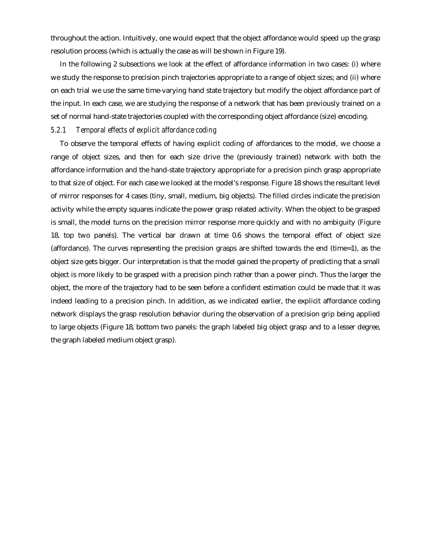throughout the action. Intuitively, one would expect that the object affordance would speed up the grasp resolution process (which is actually the case as will be shown in Figure 19).

In the following 2 subsections we look at the effect of affordance information in two cases: (i) where we study the response to precision pinch trajectories appropriate to a range of object sizes; and (ii) where on each trial we use the same time-varying hand state trajectory but modify the object affordance part of the input. In each case, we are studying the response of a network that has been previously trained on a set of normal hand-state trajectories coupled with the corresponding object affordance (size) encoding.

#### *5.2.1 Temporal effects of explicit affordance coding*

To observe the temporal effects of having explicit coding of affordances to the model, we choose a range of object sizes, and then for each size drive the (previously trained) network with both the affordance information and the hand-state trajectory appropriate for a precision pinch grasp appropriate to that size of object. For each case we looked at the model's response. Figure 18 shows the resultant level of mirror responses for 4 cases (tiny, small, medium, big objects). The filled circles indicate the precision activity while the empty squares indicate the power grasp related activity. When the object to be grasped is small, the model turns on the precision mirror response more quickly and with no ambiguity (Figure 18, top two panels). The vertical bar drawn at time 0.6 shows the temporal effect of object size (affordance). The curves representing the precision grasps are shifted towards the end (time=1), as the object size gets bigger. Our interpretation is that the model gained the property of predicting that a small object is more likely to be grasped with a precision pinch rather than a power pinch. Thus the larger the object, the more of the trajectory had to be seen before a confident estimation could be made that it was indeed leading to a precision pinch. In addition, as we indicated earlier, the explicit affordance coding network displays the grasp resolution behavior during the observation of a precision grip being applied to large objects (Figure 18, bottom two panels: the graph labeled big object grasp and to a lesser degree, the graph labeled medium object grasp).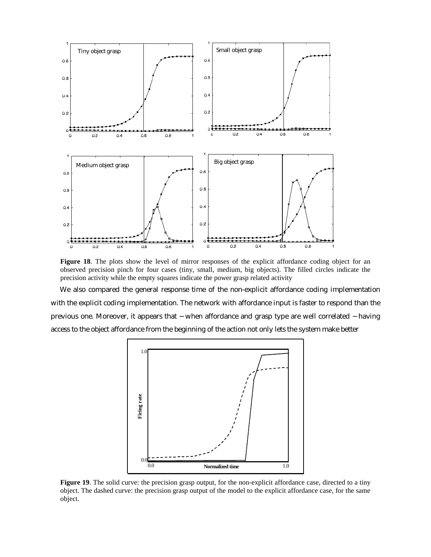

**Figure 18**. The plots show the level of mirror responses of the explicit affordance coding object for an observed precision pinch for four cases (tiny, small, medium, big objects). The filled circles indicate the precision activity while the empty squares indicate the power grasp related activity

We also compared the general response time of the non-explicit affordance coding implementation with the explicit coding implementation. The network with affordance input is faster to respond than the previous one. Moreover, it appears that − when affordance and grasp type are well correlated − having access to the object affordance from the beginning of the action not only lets the system make better



**Figure 19**. The solid curve: the precision grasp output, for the non-explicit affordance case, directed to a tiny object. The dashed curve: the precision grasp output of the model to the explicit affordance case, for the same object.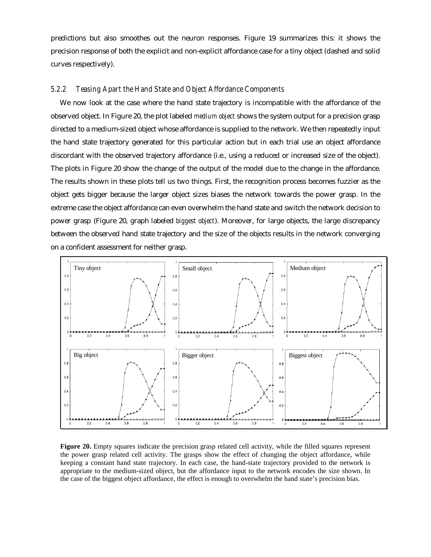predictions but also smoothes out the neuron responses. Figure 19 summarizes this: it shows the precision response of both the explicit and non-explicit affordance case for a tiny object (dashed and solid curves respectively).

#### *5.2.2 Teasing Apart the Hand State and Object Affordance Components*

We now look at the case where the hand state trajectory is incompatible with the affordance of the observed object. In Figure 20, the plot labeled *medium object* shows the system output for a precision grasp directed to a medium-sized object whose affordance is supplied to the network. We then repeatedly input the hand state trajectory generated for this particular action but in each trial use an object affordance discordant with the observed trajectory affordance (i.e., using a reduced or increased size of the object). The plots in Figure 20 show the change of the output of the model due to the change in the affordance. The results shown in these plots tell us two things. First, the recognition process becomes fuzzier as the object gets bigger because the larger object sizes biases the network towards the power grasp. In the extreme case the object affordance can even overwhelm the hand state and switch the network decision to power grasp (Figure 20, graph labeled *biggest object*). Moreover, for large objects, the large discrepancy between the observed hand state trajectory and the size of the objects results in the network converging on a confident assessment for neither grasp.



**Figure 20.** Empty squares indicate the precision grasp related cell activity, while the filled squares represent the power grasp related cell activity. The grasps show the effect of changing the object affordance, while keeping a constant hand state trajectory. In each case, the hand-state trajectory provided to the network is appropriate to the medium-sized object, but the affordance input to the network encodes the size shown. In the case of the biggest object affordance, the effect is enough to overwhelm the hand state's precision bias.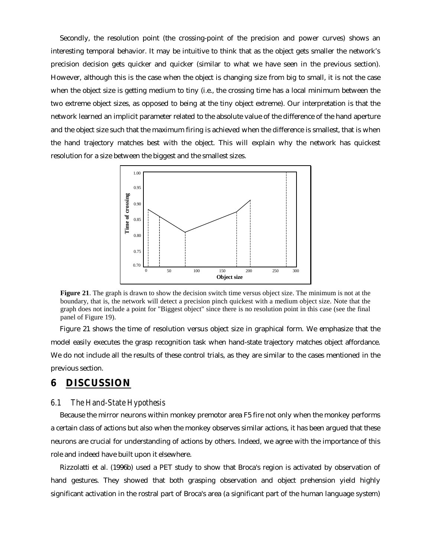Secondly, the resolution point (the crossing-point of the precision and power curves) shows an interesting temporal behavior. It may be intuitive to think that as the object gets smaller the network's precision decision gets quicker and quicker (similar to what we have seen in the previous section). However, although this is the case when the object is changing size from big to small, it is not the case when the object size is getting medium to tiny (i.e., the crossing time has a local minimum between the two extreme object sizes, as opposed to being at the tiny object extreme). Our interpretation is that the network learned an implicit parameter related to the absolute value of the difference of the hand aperture and the object size such that the maximum firing is achieved when the difference is smallest, that is when the hand trajectory matches best with the object. This will explain why the network has quickest resolution for a size between the biggest and the smallest sizes.



**Figure 21**. The graph is drawn to show the decision switch time versus object size. The minimum is not at the boundary, that is, the network will detect a precision pinch quickest with a medium object size. Note that the graph does not include a point for "Biggest object" since there is no resolution point in this case (see the final panel of Figure 19).

Figure 21 shows the time of resolution versus object size in graphical form. We emphasize that the model easily executes the grasp recognition task when hand-state trajectory matches object affordance. We do not include all the results of these control trials, as they are similar to the cases mentioned in the previous section.

# **6 DISCUSSION**

#### *6.1 The Hand-State Hypothesis*

Because the mirror neurons within monkey premotor area F5 fire not only when the monkey performs a certain class of actions but also when the monkey observes similar actions, it has been argued that these neurons are crucial for understanding of actions by others. Indeed, we agree with the importance of this role and indeed have built upon it elsewhere.

Rizzolatti et al. (1996b) used a PET study to show that Broca's region is activated by observation of hand gestures. They showed that both grasping observation and object prehension yield highly significant activation in the rostral part of Broca's area (a significant part of the human language system)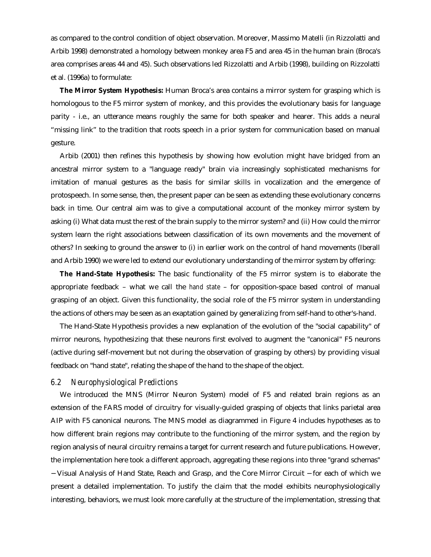as compared to the control condition of object observation. Moreover, Massimo Matelli (in Rizzolatti and Arbib 1998) demonstrated a homology between monkey area F5 and area 45 in the human brain (Broca's area comprises areas 44 and 45). Such observations led Rizzolatti and Arbib (1998), building on Rizzolatti et al. (1996a) to formulate:

**The Mirror System Hypothesis:** Human Broca's area contains a mirror system for grasping which is homologous to the F5 mirror system of monkey, and this provides the evolutionary basis for language parity - i.e., an utterance means roughly the same for both speaker and hearer. This adds a neural "missing link" to the tradition that roots speech in a prior system for communication based on manual gesture.

Arbib (2001) then refines this hypothesis by showing how evolution might have bridged from an ancestral mirror system to a "language ready" brain via increasingly sophisticated mechanisms for imitation of manual gestures as the basis for similar skills in vocalization and the emergence of protospeech. In some sense, then, the present paper can be seen as extending these evolutionary concerns back in time. Our central aim was to give a computational account of the monkey mirror system by asking (i) What data must the rest of the brain supply to the mirror system? and (ii) How could the mirror system learn the right associations between classification of its own movements and the movement of others? In seeking to ground the answer to (i) in earlier work on the control of hand movements (Iberall and Arbib 1990) we were led to extend our evolutionary understanding of the mirror system by offering:

**The Hand-State Hypothesis:** The basic functionality of the F5 mirror system is to elaborate the appropriate feedback – what we call the *hand state* – for opposition-space based control of manual grasping of an object. Given this functionality, the social role of the F5 mirror system in understanding the actions of others may be seen as an exaptation gained by generalizing from self-hand to other's-hand.

The Hand-State Hypothesis provides a new explanation of the evolution of the "social capability" of mirror neurons, hypothesizing that these neurons first evolved to augment the "canonical" F5 neurons (active during self-movement but not during the observation of grasping by others) by providing visual feedback on "hand state", relating the shape of the hand to the shape of the object.

#### *6.2 Neurophysiological Predictions*

We introduced the MNS (Mirror Neuron System) model of F5 and related brain regions as an extension of the FARS model of circuitry for visually-guided grasping of objects that links parietal area AIP with F5 canonical neurons. The MNS model as diagrammed in Figure 4 includes hypotheses as to how different brain regions may contribute to the functioning of the mirror system, and the region by region analysis of neural circuitry remains a target for current research and future publications. However, the implementation here took a different approach, aggregating these regions into three "grand schemas" − Visual Analysis of Hand State, Reach and Grasp, and the Core Mirror Circuit − for each of which we present a detailed implementation. To justify the claim that the model exhibits neurophysiologically interesting, behaviors, we must look more carefully at the structure of the implementation, stressing that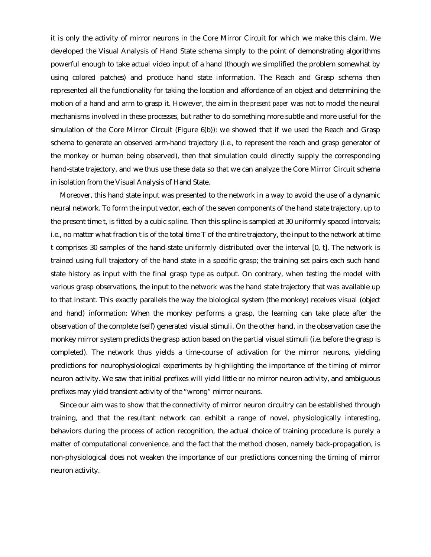it is only the activity of mirror neurons in the Core Mirror Circuit for which we make this claim. We developed the Visual Analysis of Hand State schema simply to the point of demonstrating algorithms powerful enough to take actual video input of a hand (though we simplified the problem somewhat by using colored patches) and produce hand state information. The Reach and Grasp schema then represented all the functionality for taking the location and affordance of an object and determining the motion of a hand and arm to grasp it. However, the aim *in the present paper* was not to model the neural mechanisms involved in these processes, but rather to do something more subtle and more useful for the simulation of the Core Mirror Circuit (Figure 6(b)): we showed that if we used the Reach and Grasp schema to generate an observed arm-hand trajectory (i.e., to represent the reach and grasp generator of the monkey or human being observed), then that simulation could directly supply the corresponding hand-state trajectory, and we thus use these data so that we can analyze the Core Mirror Circuit schema in isolation from the Visual Analysis of Hand State.

Moreover, this hand state input was presented to the network in a way to avoid the use of a dynamic neural network. To form the input vector, each of the seven components of the hand state trajectory, up to the present time t, is fitted by a cubic spline. Then this spline is sampled at 30 uniformly spaced intervals; i.e., no matter what fraction t is of the total time T of the entire trajectory, the input to the network at time t comprises 30 samples of the hand-state uniformly distributed over the interval [0, t]. The network is trained using full trajectory of the hand state in a specific grasp; the training set pairs each such hand state history as input with the final grasp type as output. On contrary, when testing the model with various grasp observations, the input to the network was the hand state trajectory that was available up to that instant. This exactly parallels the way the biological system (the monkey) receives visual (object and hand) information: When the monkey performs a grasp, the learning can take place after the observation of the complete (self) generated visual stimuli. On the other hand, in the observation case the monkey mirror system predicts the grasp action based on the partial visual stimuli (i.e. before the grasp is completed). The network thus yields a time-course of activation for the mirror neurons, yielding predictions for neurophysiological experiments by highlighting the importance of the *timing* of mirror neuron activity. We saw that initial prefixes will yield little or no mirror neuron activity, and ambiguous prefixes may yield transient activity of the "wrong" mirror neurons.

Since our aim was to show that the connectivity of mirror neuron circuitry can be established through training, and that the resultant network can exhibit a range of novel, physiologically interesting, behaviors during the process of action recognition, the actual choice of training procedure is purely a matter of computational convenience, and the fact that the method chosen, namely back-propagation, is non-physiological does not weaken the importance of our predictions concerning the timing of mirror neuron activity.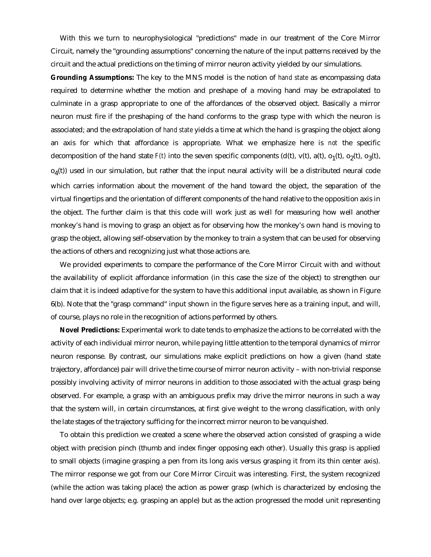With this we turn to neurophysiological "predictions" made in our treatment of the Core Mirror Circuit, namely the "grounding assumptions" concerning the nature of the input patterns received by the circuit and the actual predictions on the timing of mirror neuron activity yielded by our simulations.

**Grounding Assumptions:** The key to the MNS model is the notion of *hand state* as encompassing data required to determine whether the motion and preshape of a moving hand may be extrapolated to culminate in a grasp appropriate to one of the affordances of the observed object. Basically a mirror neuron must fire if the preshaping of the hand conforms to the grasp type with which the neuron is associated; and the extrapolation of *hand state* yields a time at which the hand is grasping the object along an axis for which that affordance is appropriate. What we emphasize here is *not* the specific decomposition of the hand state  $F(t)$  into the seven specific components (d(t), v(t), a(t), o<sub>1</sub>(t), o<sub>2</sub>(t), o<sub>3</sub>(t),  $o_4(t)$ ) used in our simulation, but rather that the input neural activity will be a distributed neural code which carries information about the movement of the hand toward the object, the separation of the virtual fingertips and the orientation of different components of the hand relative to the opposition axis in the object. The further claim is that this code will work just as well for measuring how well another monkey's hand is moving to grasp an object as for observing how the monkey's own hand is moving to grasp the object, allowing self-observation by the monkey to train a system that can be used for observing the actions of others and recognizing just what those actions are.

We provided experiments to compare the performance of the Core Mirror Circuit with and without the availability of explicit affordance information (in this case the size of the object) to strengthen our claim that it is indeed adaptive for the system to have this additional input available, as shown in Figure 6(b). Note that the "grasp command" input shown in the figure serves here as a training input, and will, of course, plays no role in the recognition of actions performed by others.

**Novel Predictions:** Experimental work to date tends to emphasize the actions to be correlated with the activity of each individual mirror neuron, while paying little attention to the temporal dynamics of mirror neuron response. By contrast, our simulations make explicit predictions on how a given (hand state trajectory, affordance) pair will drive the time course of mirror neuron activity – with non-trivial response possibly involving activity of mirror neurons in addition to those associated with the actual grasp being observed. For example, a grasp with an ambiguous prefix may drive the mirror neurons in such a way that the system will, in certain circumstances, at first give weight to the wrong classification, with only the late stages of the trajectory sufficing for the incorrect mirror neuron to be vanquished.

To obtain this prediction we created a scene where the observed action consisted of grasping a wide object with precision pinch (thumb and index finger opposing each other). Usually this grasp is applied to small objects (imagine grasping a pen from its long axis versus grasping it from its thin center axis). The mirror response we got from our Core Mirror Circuit was interesting. First, the system recognized (while the action was taking place) the action as power grasp (which is characterized by enclosing the hand over large objects; e.g. grasping an apple) but as the action progressed the model unit representing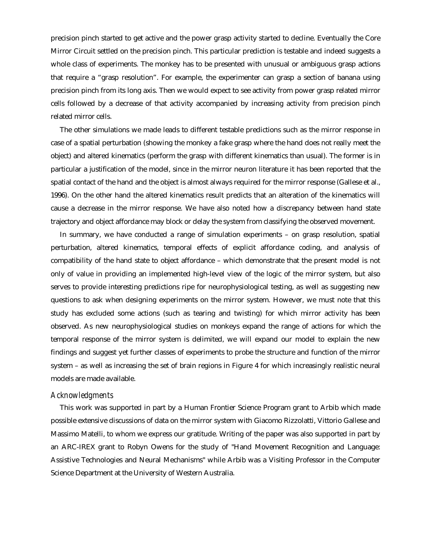precision pinch started to get active and the power grasp activity started to decline. Eventually the Core Mirror Circuit settled on the precision pinch. This particular prediction is testable and indeed suggests a whole class of experiments. The monkey has to be presented with unusual or ambiguous grasp actions that require a "grasp resolution". For example, the experimenter can grasp a section of banana using precision pinch from its long axis. Then we would expect to see activity from power grasp related mirror cells followed by a decrease of that activity accompanied by increasing activity from precision pinch related mirror cells.

The other simulations we made leads to different testable predictions such as the mirror response in case of a spatial perturbation (showing the monkey a fake grasp where the hand does not really meet the object) and altered kinematics (perform the grasp with different kinematics than usual). The former is in particular a justification of the model, since in the mirror neuron literature it has been reported that the spatial contact of the hand and the object is almost always required for the mirror response (Gallese et al., 1996). On the other hand the altered kinematics result predicts that an alteration of the kinematics will cause a decrease in the mirror response. We have also noted how a discrepancy between hand state trajectory and object affordance may block or delay the system from classifying the observed movement.

In summary, we have conducted a range of simulation experiments – on grasp resolution, spatial perturbation, altered kinematics, temporal effects of explicit affordance coding, and analysis of compatibility of the hand state to object affordance – which demonstrate that the present model is not only of value in providing an implemented high-level view of the logic of the mirror system, but also serves to provide interesting predictions ripe for neurophysiological testing, as well as suggesting new questions to ask when designing experiments on the mirror system. However, we must note that this study has excluded some actions (such as tearing and twisting) for which mirror activity has been observed. As new neurophysiological studies on monkeys expand the range of actions for which the temporal response of the mirror system is delimited, we will expand our model to explain the new findings and suggest yet further classes of experiments to probe the structure and function of the mirror system – as well as increasing the set of brain regions in Figure 4 for which increasingly realistic neural models are made available.

#### *Acknowledgments*

This work was supported in part by a Human Frontier Science Program grant to Arbib which made possible extensive discussions of data on the mirror system with Giacomo Rizzolatti, Vittorio Gallese and Massimo Matelli, to whom we express our gratitude. Writing of the paper was also supported in part by an ARC-IREX grant to Robyn Owens for the study of "Hand Movement Recognition and Language: Assistive Technologies and Neural Mechanisms" while Arbib was a Visiting Professor in the Computer Science Department at the University of Western Australia.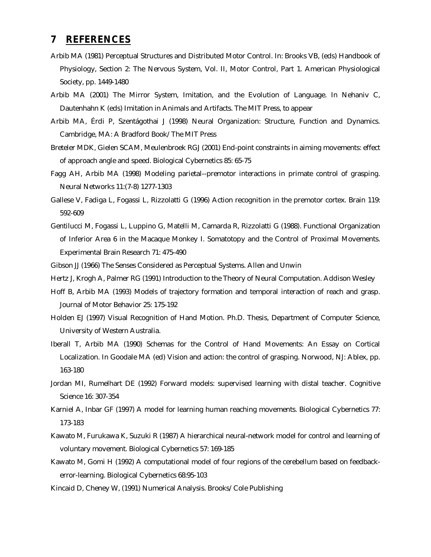# **7 REFERENCES**

- Arbib MA (1981) Perceptual Structures and Distributed Motor Control. In: Brooks VB, (eds) Handbook of Physiology, Section 2: The Nervous System, Vol. II, Motor Control, Part 1. American Physiological Society, pp. 1449-1480
- Arbib MA (2001) The Mirror System, Imitation, and the Evolution of Language. In Nehaniv C, Dautenhahn K (eds) Imitation in Animals and Artifacts. The MIT Press, to appear
- Arbib MA, Érdi P, Szentágothai J (1998) Neural Organization: Structure, Function and Dynamics. Cambridge, MA: A Bradford Book/The MIT Press
- Breteler MDK, Gielen SCAM, Meulenbroek RGJ (2001) End-point constraints in aiming movements: effect of approach angle and speed. Biological Cybernetics 85: 65-75
- Fagg AH, Arbib MA (1998) Modeling parietal--premotor interactions in primate control of grasping. Neural Networks 11:(7-8) 1277-1303
- Gallese V, Fadiga L, Fogassi L, Rizzolatti G (1996) Action recognition in the premotor cortex. Brain 119: 592-609
- Gentilucci M, Fogassi L, Luppino G, Matelli M, Camarda R, Rizzolatti G (1988). Functional Organization of Inferior Area 6 in the Macaque Monkey I. Somatotopy and the Control of Proximal Movements. Experimental Brain Research 71: 475-490
- Gibson JJ (1966) The Senses Considered as Perceptual Systems. Allen and Unwin
- Hertz J, Krogh A, Palmer RG (1991) Introduction to the Theory of Neural Computation. Addison Wesley
- Hoff B, Arbib MA (1993) Models of trajectory formation and temporal interaction of reach and grasp. Journal of Motor Behavior 25: 175-192
- Holden EJ (1997) Visual Recognition of Hand Motion. Ph.D. Thesis, Department of Computer Science, University of Western Australia.
- Iberall T, Arbib MA (1990) Schemas for the Control of Hand Movements: An Essay on Cortical Localization. In Goodale MA (ed) Vision and action: the control of grasping. Norwood, NJ: Ablex, pp. 163-180
- Jordan MI, Rumelhart DE (1992) Forward models: supervised learning with distal teacher. Cognitive Science 16: 307-354
- Karniel A, Inbar GF (1997) A model for learning human reaching movements. Biological Cybernetics 77: 173-183
- Kawato M, Furukawa K, Suzuki R (1987) A hierarchical neural-network model for control and learning of voluntary movement. Biological Cybernetics 57: 169-185
- Kawato M, Gomi H (1992) A computational model of four regions of the cerebellum based on feedbackerror-learning. Biological Cybernetics 68:95-103
- Kincaid D, Cheney W, (1991) Numerical Analysis. Brooks/Cole Publishing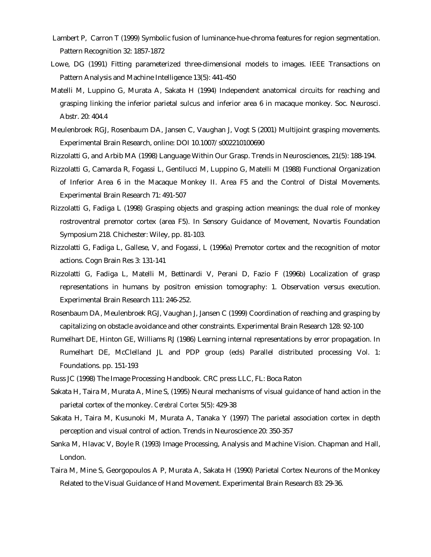- Lambert P, Carron T (1999) Symbolic fusion of luminance-hue-chroma features for region segmentation. Pattern Recognition 32: 1857-1872
- Lowe, DG (1991) Fitting parameterized three-dimensional models to images. IEEE Transactions on Pattern Analysis and Machine Intelligence 13(5): 441-450
- Matelli M, Luppino G, Murata A, Sakata H (1994) Independent anatomical circuits for reaching and grasping linking the inferior parietal sulcus and inferior area 6 in macaque monkey. Soc. Neurosci. Abstr. 20: 404.4
- Meulenbroek RGJ, Rosenbaum DA, Jansen C, Vaughan J, Vogt S (2001) Multijoint grasping movements. Experimental Brain Research, online: DOI 10.1007/s002210100690
- Rizzolatti G, and Arbib MA (1998) Language Within Our Grasp. Trends in Neurosciences, 21(5): 188-194.
- Rizzolatti G, Camarda R, Fogassi L, Gentilucci M, Luppino G, Matelli M (1988) Functional Organization of Inferior Area 6 in the Macaque Monkey II. Area F5 and the Control of Distal Movements. Experimental Brain Research 71: 491-507
- Rizzolatti G, Fadiga L (1998) Grasping objects and grasping action meanings: the dual role of monkey rostroventral premotor cortex (area F5). In Sensory Guidance of Movement, Novartis Foundation Symposium 218. Chichester: Wiley, pp. 81-103.
- Rizzolatti G, Fadiga L, Gallese, V, and Fogassi, L (1996a) Premotor cortex and the recognition of motor actions. Cogn Brain Res 3: 131-141
- Rizzolatti G, Fadiga L, Matelli M, Bettinardi V, Perani D, Fazio F (1996b) Localization of grasp representations in humans by positron emission tomography: 1. Observation versus execution. Experimental Brain Research 111: 246-252.
- Rosenbaum DA, Meulenbroek RGJ, Vaughan J, Jansen C (1999) Coordination of reaching and grasping by capitalizing on obstacle avoidance and other constraints. Experimental Brain Research 128: 92-100
- Rumelhart DE, Hinton GE, Williams RJ (1986) Learning internal representations by error propagation. In Rumelhart DE, McClelland JL and PDP group (eds) Parallel distributed processing Vol. 1: Foundations. pp. 151-193
- Russ JC (1998) The Image Processing Handbook*.* CRC press LLC, FL: Boca Raton
- Sakata H, Taira M, Murata A, Mine S, (1995) Neural mechanisms of visual guidance of hand action in the parietal cortex of the monkey. *Cerebral Cortex* 5(5): 429-38
- Sakata H, Taira M, Kusunoki M, Murata A, Tanaka Y (1997) The parietal association cortex in depth perception and visual control of action. Trends in Neuroscience 20: 350-357
- Sanka M, Hlavac V, Boyle R (1993) Image Processing, Analysis and Machine Vision. Chapman and Hall, London.
- Taira M, Mine S, Georgopoulos A P, Murata A, Sakata H (1990) Parietal Cortex Neurons of the Monkey Related to the Visual Guidance of Hand Movement. Experimental Brain Research 83: 29-36.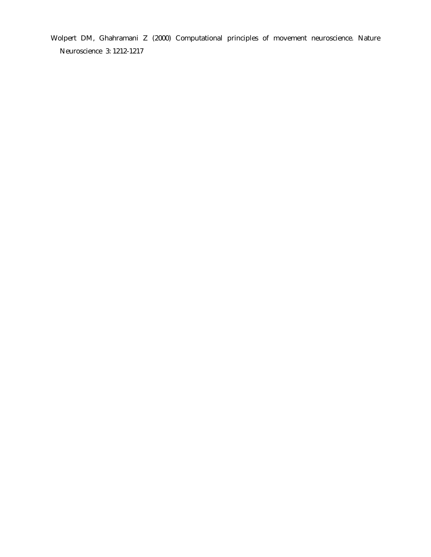Wolpert DM, Ghahramani Z (2000) Computational principles of movement neuroscience. Nature Neuroscience 3: 1212-1217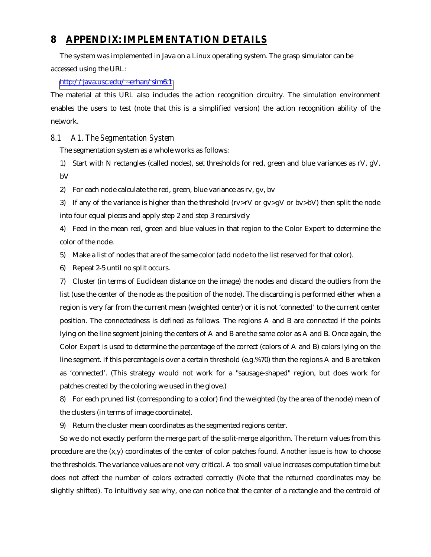# **8 APPENDIX: IMPLEMENTATION DETAILS**

The system was implemented in Java on a Linux operating system. The grasp simulator can be accessed using the URL:

#### <http://java.usc.edu/~erhan/sim6.1>

The material at this URL also includes the action recognition circuitry. The simulation environment enables the users to test (note that this is a simplified version) the action recognition ability of the network.

### *8.1 A1. The Segmentation System*

The segmentation system as a whole works as follows:

1) Start with N rectangles (called nodes), set thresholds for red, green and blue variances as rV, gV, bV

2) For each node calculate the red, green, blue variance as rv, gv, bv

3) If any of the variance is higher than the threshold ( $rv>rV$  or  $gv>gV$  or  $bv>bV$ ) then split the node into four equal pieces and apply step 2 and step 3 recursively

4) Feed in the mean red, green and blue values in that region to the Color Expert to determine the color of the node.

5) Make a list of nodes that are of the same color (add node to the list reserved for that color).

6) Repeat 2-5 until no split occurs.

7) Cluster (in terms of Euclidean distance on the image) the nodes and discard the outliers from the list (use the center of the node as the position of the node). The discarding is performed either when a region is very far from the current mean (weighted center) or it is not 'connected' to the current center position. The connectedness is defined as follows. The regions A and B are connected if the points lying on the line segment joining the centers of A and B are the same color as A and B. Once again, the Color Expert is used to determine the percentage of the correct (colors of A and B) colors lying on the line segment. If this percentage is over a certain threshold (e.g.%70) then the regions A and B are taken as 'connected'. (This strategy would not work for a "sausage-shaped" region, but does work for patches created by the coloring we used in the glove.)

8) For each pruned list (corresponding to a color) find the weighted (by the area of the node) mean of the clusters (in terms of image coordinate).

9) Return the cluster mean coordinates as the segmented regions center.

So we do not exactly perform the merge part of the split-merge algorithm. The return values from this procedure are the (x,y) coordinates of the center of color patches found. Another issue is how to choose the thresholds. The variance values are not very critical. A too small value increases computation time but does not affect the number of colors extracted correctly (Note that the returned coordinates may be slightly shifted). To intuitively see why, one can notice that the center of a rectangle and the centroid of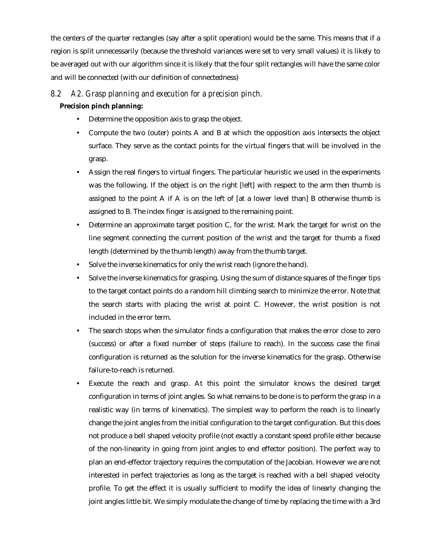the centers of the quarter rectangles (say after a split operation) would be the same. This means that if a region is split unnecessarily (because the threshold variances were set to very small values) it is likely to be averaged out with our algorithm since it is likely that the four split rectangles will have the same color and will be connected (with our definition of connectedness)

# *8.2 A2. Grasp planning and execution for a precision pinch.*  **Precision pinch planning:**

- Determine the opposition axis to grasp the object.
- Compute the two (outer) points A and B at which the opposition axis intersects the object surface. They serve as the contact points for the virtual fingers that will be involved in the grasp.
- Assign the real fingers to virtual fingers. The particular heuristic we used in the experiments was the following. If the object is on the right [left] with respect to the arm then thumb is assigned to the point A if A is on the left of [at a lower level than] B otherwise thumb is assigned to B. The index finger is assigned to the remaining point.
- Determine an approximate target position C, for the wrist. Mark the target for wrist on the line segment connecting the current position of the wrist and the target for thumb a fixed length (determined by the thumb length) away from the thumb target.
- Solve the inverse kinematics for only the wrist reach (ignore the hand).
- Solve the inverse kinematics for grasping. Using the sum of distance squares of the finger tips to the target contact points do a random hill climbing search to minimize the error. Note that the search starts with placing the wrist at point C. However, the wrist position is not included in the error term.
- The search stops when the simulator finds a configuration that makes the error close to zero (success) or after a fixed number of steps (failure to reach). In the success case the final configuration is returned as the solution for the inverse kinematics for the grasp. Otherwise failure-to-reach is returned.
- Execute the reach and grasp. At this point the simulator knows the desired target configuration in terms of joint angles. So what remains to be done is to perform the grasp in a realistic way (in terms of kinematics). The simplest way to perform the reach is to linearly change the joint angles from the initial configuration to the target configuration. But this does not produce a bell shaped velocity profile (not exactly a constant speed profile either because of the non-linearity in going from joint angles to end effector position). The perfect way to plan an end-effector trajectory requires the computation of the Jacobian. However we are not interested in perfect trajectories as long as the target is reached with a bell shaped velocity profile. To get the effect it is usually sufficient to modify the idea of linearly changing the joint angles little bit. We simply modulate the change of time by replacing the time with a 3rd